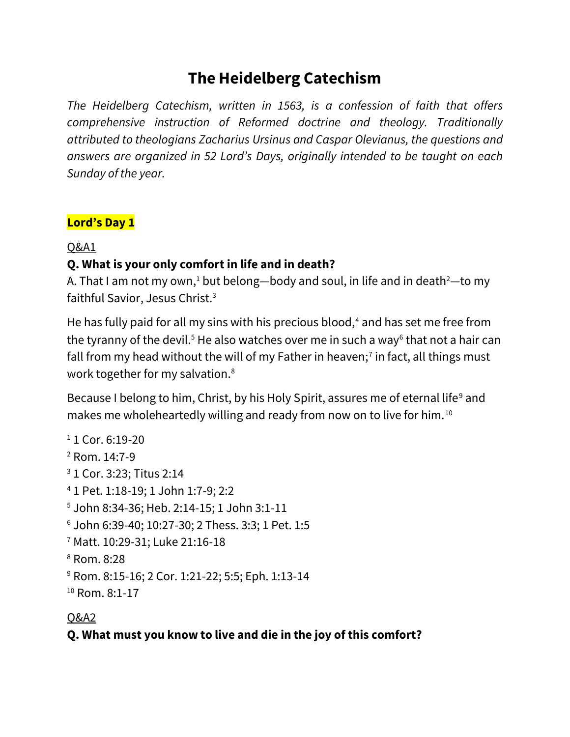# **The Heidelberg Catechism**

*The Heidelberg Catechism, written in 1563, is a confession of faith that offers comprehensive instruction of Reformed doctrine and theology. Traditionally attributed to theologians Zacharius Ursinus and Caspar Olevianus, the questions and answers are organized in 52 Lord's Days, originally intended to be taught on each Sunday of the year.*

#### **Lord's Day 1**

Q&A1

### **Q. What is your only comfort in life and in death?**

A. That I am not my own,<sup>1</sup> but belong—body and soul, in life and in death<sup>2</sup>—to my faithful Savior, Jesus Christ.<sup>3</sup>

He has fully paid for all my sins with his precious blood, $4$  and has set me free from the tyranny of the devil.<sup>5</sup> He also watches over me in such a way<sup>6</sup> that not a hair can fall from my head without the will of my Father in heaven;<sup>7</sup> in fact, all things must work together for my salvation.<sup>8</sup>

Because I belong to him, Christ, by his Holy Spirit, assures me of eternal life<sup>9</sup> and makes me wholeheartedly willing and ready from now on to live for him.<sup>10</sup>

```
1 1 Cor. 6:19-20
2 Rom. 14:7-9
3 1 Cor. 3:23; Titus 2:14
4 1 Pet. 1:18-19; 1 John 1:7-9; 2:2
5 John 8:34-36; Heb. 2:14-15; 1 John 3:1-11
6 John 6:39-40; 10:27-30; 2 Thess. 3:3; 1 Pet. 1:5
7 Matt. 10:29-31; Luke 21:16-18
8 Rom. 8:28
9 Rom. 8:15-16; 2 Cor. 1:21-22; 5:5; Eph. 1:13-14
<sup>10</sup> Rom. 8:1-17
```
### Q&A2

### **Q. What must you know to live and die in the joy of this comfort?**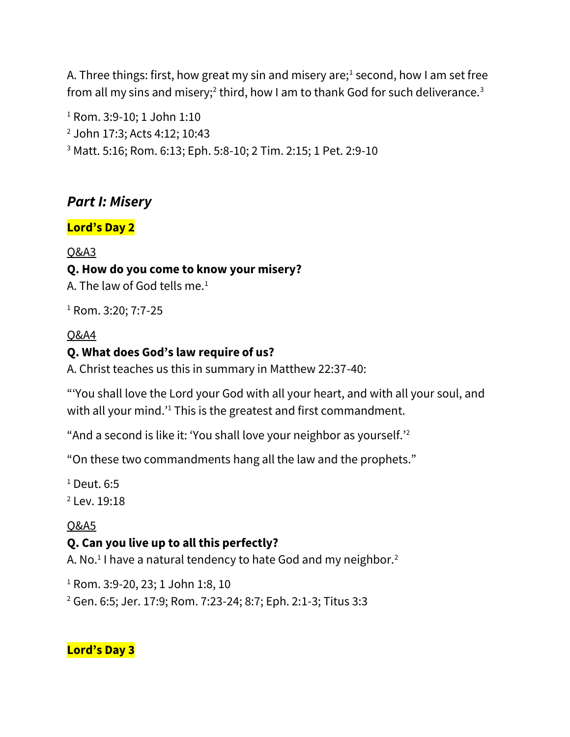A. Three things: first, how great my sin and misery are;<sup>1</sup> second, how I am set free from all my sins and misery; $^2$  third, how I am to thank God for such deliverance. $^3$ 

<sup>1</sup> Rom. 3:9-10; 1 John 1:10 <sup>2</sup> John 17:3; Acts 4:12; 10:43 <sup>3</sup> Matt. 5:16; Rom. 6:13; Eph. 5:8-10; 2 Tim. 2:15; 1 Pet. 2:9-10

# *Part I: Misery*

### **Lord's Day 2**

### Q&A3

### **Q. How do you come to know your misery?**

A. The law of God tells me. $1$ 

<sup>1</sup> Rom. 3:20; 7:7-25

### Q&A4

### **Q. What does God's law require of us?**

A. Christ teaches us this in summary in Matthew 22:37-40:

"'You shall love the Lord your God with all your heart, and with all your soul, and with all your mind.<sup>1</sup> This is the greatest and first commandment.

"And a second is like it: 'You shall love your neighbor as yourself.'<sup>2</sup>

"On these two commandments hang all the law and the prophets."

 $<sup>1</sup>$  Deut. 6:5</sup> <sup>2</sup> Lev. 19:18

# Q&A5

# **Q. Can you live up to all this perfectly?**

A. No.<sup>1</sup> I have a natural tendency to hate God and my neighbor.<sup>2</sup>

<sup>1</sup> Rom. 3:9-20, 23; 1 John 1:8, 10

<sup>2</sup> Gen. 6:5; Jer. 17:9; Rom. 7:23-24; 8:7; Eph. 2:1-3; Titus 3:3

**Lord's Day 3**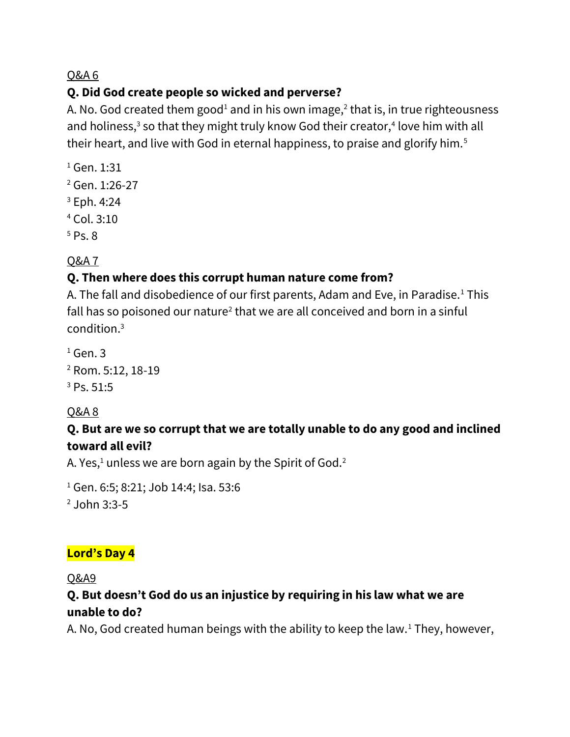### **Q. Did God create people so wicked and perverse?**

A. No. God created them good<sup>1</sup> and in his own image,<sup>2</sup> that is, in true righteousness and holiness, $3$  so that they might truly know God their creator, $4$  love him with all their heart, and live with God in eternal happiness, to praise and glorify him.<sup>5</sup>

- <sup>1</sup> Gen. 1:31
- <sup>2</sup> Gen. 1:26-27
- <sup>3</sup> Eph. 4:24
- <sup>4</sup> Col. 3:10
- $5$  Ps. 8

# Q&A 7

# **Q. Then where does this corrupt human nature come from?**

A. The fall and disobedience of our first parents, Adam and Eve, in Paradise.<sup>1</sup> This fall has so poisoned our nature<sup>2</sup> that we are all conceived and born in a sinful condition.<sup>3</sup>

 $1$  Gen. 3 <sup>2</sup> Rom. 5:12, 18-19 <sup>3</sup> Ps. 51:5

# Q&A 8

# **Q. But are we so corrupt that we are totally unable to do any good and inclined toward all evil?**

A. Yes, $1$  unless we are born again by the Spirit of God.<sup>2</sup>

<sup>1</sup> Gen. 6:5; 8:21; Job 14:4; Isa. 53:6 <sup>2</sup> John 3:3-5

# **Lord's Day 4**

Q&A9

### **Q. But doesn't God do us an injustice by requiring in his law what we are unable to do?**

A. No, God created human beings with the ability to keep the law.<sup>1</sup> They, however,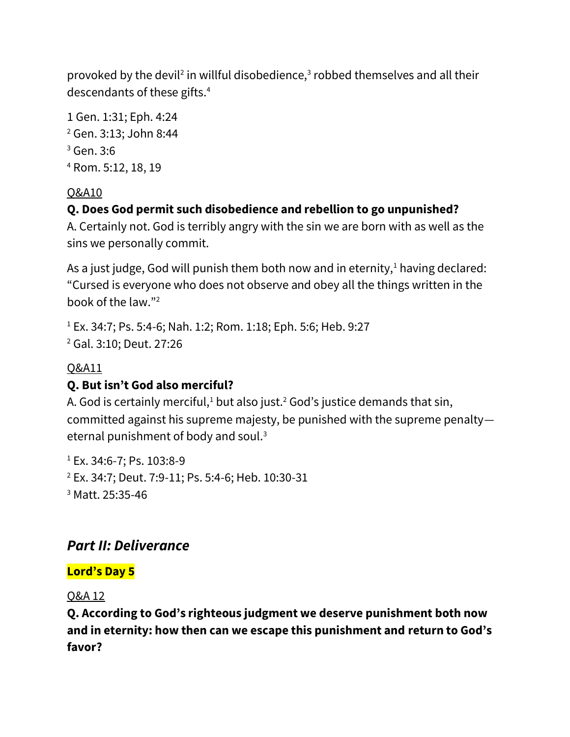provoked by the devil<sup>2</sup> in willful disobedience,<sup>3</sup> robbed themselves and all their descendants of these gifts.<sup>4</sup>

1 Gen. 1:31; Eph. 4:24 <sup>2</sup> Gen. 3:13; John 8:44 <sup>3</sup> Gen. 3:6 <sup>4</sup> Rom. 5:12, 18, 19

### Q&A10

# **Q. Does God permit such disobedience and rebellion to go unpunished?**

A. Certainly not. God is terribly angry with the sin we are born with as well as the sins we personally commit.

As a just judge, God will punish them both now and in eternity, $1$  having declared: "Cursed is everyone who does not observe and obey all the things written in the book of the law."<sup>2</sup>

<sup>1</sup> Ex. 34:7; Ps. 5:4-6; Nah. 1:2; Rom. 1:18; Eph. 5:6; Heb. 9:27 <sup>2</sup> Gal. 3:10; Deut. 27:26

# Q&A11

# **Q. But isn't God also merciful?**

A. God is certainly merciful, $1$  but also just.<sup>2</sup> God's justice demands that sin, committed against his supreme majesty, be punished with the supreme penalty eternal punishment of body and soul.<sup>3</sup>

 $1$  Ex. 34:6-7; Ps. 103:8-9 <sup>2</sup> Ex. 34:7; Deut. 7:9-11; Ps. 5:4-6; Heb. 10:30-31 <sup>3</sup> Matt. 25:35-46

# *Part II: Deliverance*

# **Lord's Day 5**

### Q&A 12

**Q. According to God's righteous judgment we deserve punishment both now and in eternity: how then can we escape this punishment and return to God's favor?**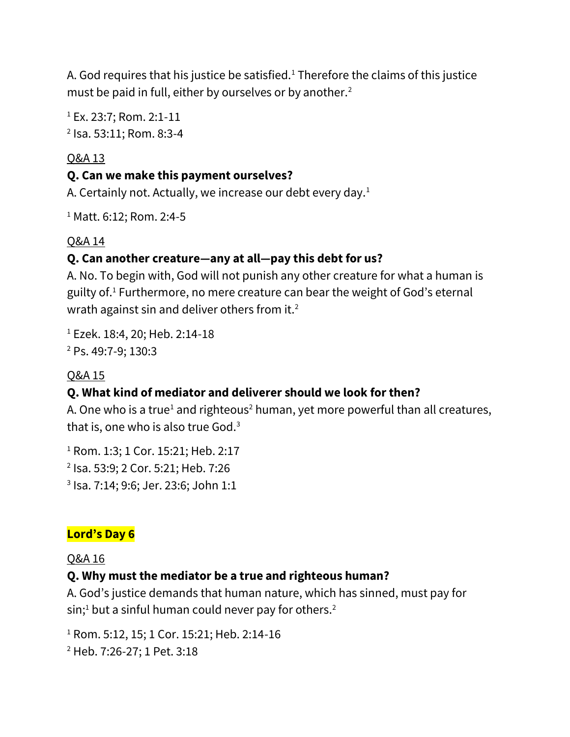A. God requires that his justice be satisfied.<sup>1</sup> Therefore the claims of this justice must be paid in full, either by ourselves or by another.<sup>2</sup>

<sup>1</sup> Ex. 23:7; Rom. 2:1-11 2 Isa. 53:11; Rom. 8:3-4

#### Q&A 13

#### **Q. Can we make this payment ourselves?**

A. Certainly not. Actually, we increase our debt every day. $<sup>1</sup>$ </sup>

<sup>1</sup> Matt. 6:12; Rom. 2:4-5

#### Q&A 14

### **Q. Can another creature—any at all—pay this debt for us?**

A. No. To begin with, God will not punish any other creature for what a human is guilty of.<sup>1</sup> Furthermore, no mere creature can bear the weight of God's eternal wrath against sin and deliver others from it.<sup>2</sup>

<sup>1</sup> Ezek. 18:4, 20; Heb. 2:14-18 <sup>2</sup> Ps. 49:7-9; 130:3

### Q&A 15

# **Q. What kind of mediator and deliverer should we look for then?**

A. One who is a true<sup>1</sup> and righteous<sup>2</sup> human, yet more powerful than all creatures, that is, one who is also true God. $3$ 

<sup>1</sup> Rom. 1:3; 1 Cor. 15:21; Heb. 2:17 2 Isa. 53:9; 2 Cor. 5:21; Heb. 7:26 3 Isa. 7:14; 9:6; Jer. 23:6; John 1:1

### **Lord's Day 6**

#### Q&A 16

### **Q. Why must the mediator be a true and righteous human?**

A. God's justice demands that human nature, which has sinned, must pay for  $sin<sup>1</sup>$  but a sinful human could never pay for others.<sup>2</sup>

<sup>1</sup> Rom. 5:12, 15; 1 Cor. 15:21; Heb. 2:14-16

<sup>2</sup> Heb. 7:26-27; 1 Pet. 3:18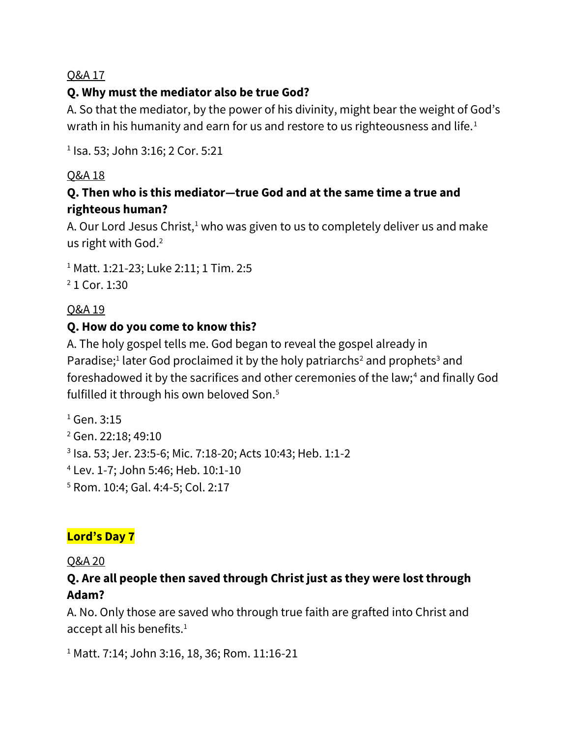# **Q. Why must the mediator also be true God?**

A. So that the mediator, by the power of his divinity, might bear the weight of God's wrath in his humanity and earn for us and restore to us righteousness and life.<sup>1</sup>

1 Isa. 53; John 3:16; 2 Cor. 5:21

### Q&A 18

### **Q. Then who is this mediator—true God and at the same time a true and righteous human?**

A. Our Lord Jesus Christ,<sup>1</sup> who was given to us to completely deliver us and make us right with God.<sup>2</sup>

<sup>1</sup> Matt. 1:21-23; Luke 2:11; 1 Tim. 2:5 <sup>2</sup> 1 Cor. 1:30

### Q&A 19

### **Q. How do you come to know this?**

A. The holy gospel tells me. God began to reveal the gospel already in Paradise;<sup>1</sup> later God proclaimed it by the holy patriarchs<sup>2</sup> and prophets<sup>3</sup> and foreshadowed it by the sacrifices and other ceremonies of the law;<sup>4</sup> and finally God fulfilled it through his own beloved Son.<sup>5</sup>

 Gen. 3:15 Gen. 22:18; 49:10 Isa. 53; Jer. 23:5-6; Mic. 7:18-20; Acts 10:43; Heb. 1:1-2 Lev. 1-7; John 5:46; Heb. 10:1-10 Rom. 10:4; Gal. 4:4-5; Col. 2:17

# **Lord's Day 7**

#### Q&A 20

### **Q. Are all people then saved through Christ just as they were lost through Adam?**

A. No. Only those are saved who through true faith are grafted into Christ and accept all his benefits.<sup>1</sup>

<sup>1</sup> Matt. 7:14; John 3:16, 18, 36; Rom. 11:16-21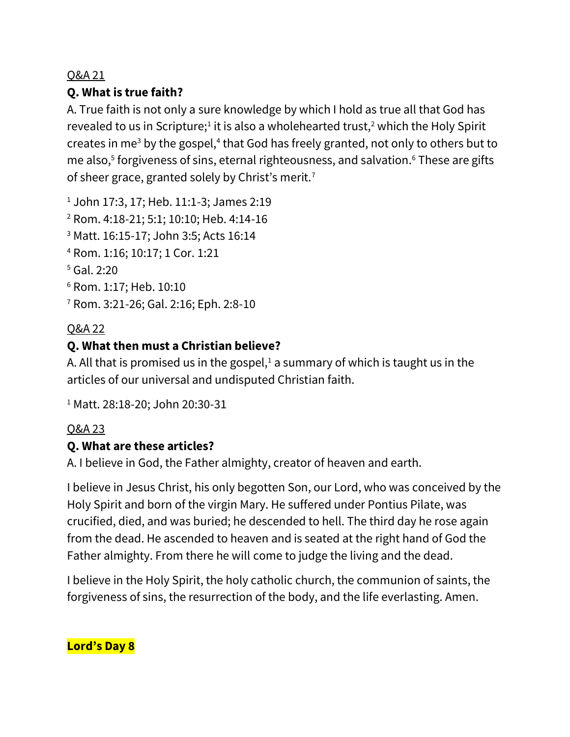### **Q. What is true faith?**

A. True faith is not only a sure knowledge by which I hold as true all that God has revealed to us in Scripture;<sup>1</sup> it is also a wholehearted trust,<sup>2</sup> which the Holy Spirit creates in me<sup>3</sup> by the gospel,<sup>4</sup> that God has freely granted, not only to others but to me also,<sup>5</sup> forgiveness of sins, eternal righteousness, and salvation.<sup>6</sup> These are gifts of sheer grace, granted solely by Christ's merit.<sup>7</sup>

<sup>1</sup> John 17:3, 17; Heb. 11:1-3; James 2:19

<sup>2</sup> Rom. 4:18-21; 5:1; 10:10; Heb. 4:14-16

- <sup>3</sup> Matt. 16:15-17; John 3:5; Acts 16:14
- <sup>4</sup> Rom. 1:16; 10:17; 1 Cor. 1:21

<sup>5</sup> Gal. 2:20

- <sup>6</sup> Rom. 1:17; Heb. 10:10
- <sup>7</sup> Rom. 3:21-26; Gal. 2:16; Eph. 2:8-10

#### Q&A 22

#### **Q. What then must a Christian believe?**

A. All that is promised us in the gospel, $1$  a summary of which is taught us in the articles of our universal and undisputed Christian faith.

<sup>1</sup> Matt. 28:18-20; John 20:30-31

#### Q&A 23

#### **Q. What are these articles?**

A. I believe in God, the Father almighty, creator of heaven and earth.

I believe in Jesus Christ, his only begotten Son, our Lord, who was conceived by the Holy Spirit and born of the virgin Mary. He suffered under Pontius Pilate, was crucified, died, and was buried; he descended to hell. The third day he rose again from the dead. He ascended to heaven and is seated at the right hand of God the Father almighty. From there he will come to judge the living and the dead.

I believe in the Holy Spirit, the holy catholic church, the communion of saints, the forgiveness of sins, the resurrection of the body, and the life everlasting. Amen.

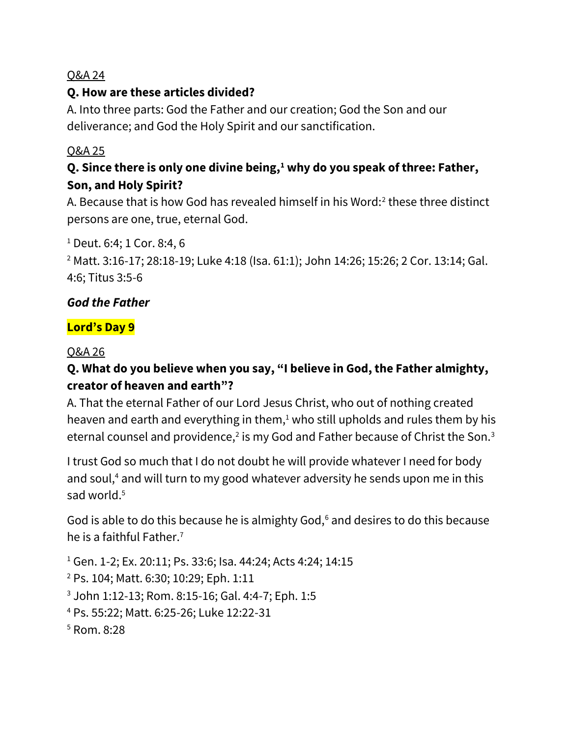### **Q. How are these articles divided?**

A. Into three parts: God the Father and our creation; God the Son and our deliverance; and God the Holy Spirit and our sanctification.

#### Q&A 25

# **Q. Since there is only one divine being,<sup>1</sup> why do you speak of three: Father, Son, and Holy Spirit?**

A. Because that is how God has revealed himself in his Word: $2$  these three distinct persons are one, true, eternal God.

<sup>1</sup> Deut. 6:4; 1 Cor. 8:4, 6

<sup>2</sup> Matt. 3:16-17; 28:18-19; Luke 4:18 (Isa. 61:1); John 14:26; 15:26; 2 Cor. 13:14; Gal. 4:6; Titus 3:5-6

#### *God the Father*

### **Lord's Day 9**

#### Q&A 26

### **Q. What do you believe when you say, "I believe in God, the Father almighty, creator of heaven and earth"?**

A. That the eternal Father of our Lord Jesus Christ, who out of nothing created heaven and earth and everything in them, $1$  who still upholds and rules them by his eternal counsel and providence,<sup>2</sup> is my God and Father because of Christ the Son.<sup>3</sup>

I trust God so much that I do not doubt he will provide whatever I need for body and soul, $4$  and will turn to my good whatever adversity he sends upon me in this sad world.<sup>5</sup>

God is able to do this because he is almighty God,<sup>6</sup> and desires to do this because he is a faithful Father.<sup>7</sup>

 Gen. 1-2; Ex. 20:11; Ps. 33:6; Isa. 44:24; Acts 4:24; 14:15 Ps. 104; Matt. 6:30; 10:29; Eph. 1:11 John 1:12-13; Rom. 8:15-16; Gal. 4:4-7; Eph. 1:5 Ps. 55:22; Matt. 6:25-26; Luke 12:22-31 <sup>5</sup> Rom. 8:28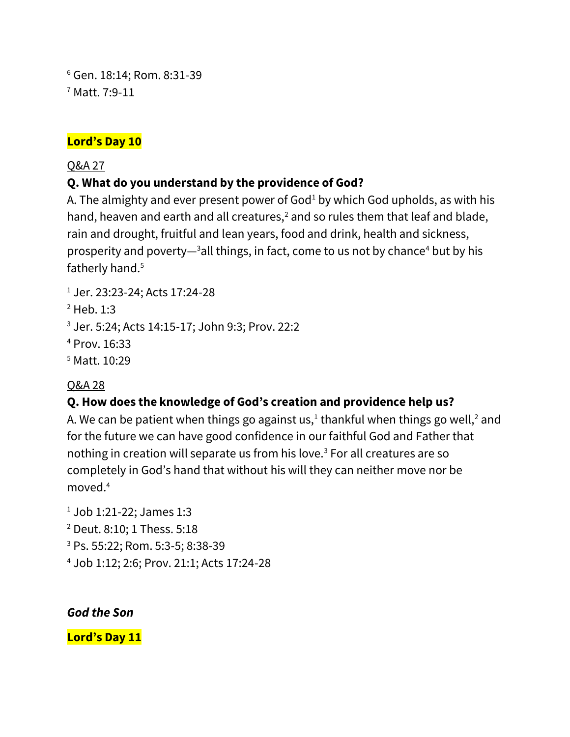<sup>6</sup> Gen. 18:14; Rom. 8:31-39 <sup>7</sup> Matt. 7:9-11

#### **Lord's Day 10**

#### Q&A 27

### **Q. What do you understand by the providence of God?**

A. The almighty and ever present power of  $God<sup>1</sup>$  by which God upholds, as with his hand, heaven and earth and all creatures,<sup>2</sup> and so rules them that leaf and blade, rain and drought, fruitful and lean years, food and drink, health and sickness, prosperity and poverty— $3$ all things, in fact, come to us not by chance<sup>4</sup> but by his fatherly hand.<sup>5</sup>

<sup>1</sup> Jer. 23:23-24; Acts 17:24-28

<sup>2</sup> Heb. 1:3

<sup>3</sup> Jer. 5:24; Acts 14:15-17; John 9:3; Prov. 22:2

<sup>4</sup> Prov. 16:33

<sup>5</sup> Matt. 10:29

### Q&A 28

# **Q. How does the knowledge of God's creation and providence help us?**

A. We can be patient when things go against us, $^1$  thankful when things go well, $^2$  and for the future we can have good confidence in our faithful God and Father that nothing in creation will separate us from his love.<sup>3</sup> For all creatures are so completely in God's hand that without his will they can neither move nor be moved.<sup>4</sup>

- <sup>1</sup> Job 1:21-22; James 1:3
- <sup>2</sup> Deut. 8:10; 1 Thess. 5:18
- <sup>3</sup> Ps. 55:22; Rom. 5:3-5; 8:38-39
- <sup>4</sup> Job 1:12; 2:6; Prov. 21:1; Acts 17:24-28

#### *God the Son*

**Lord's Day 11**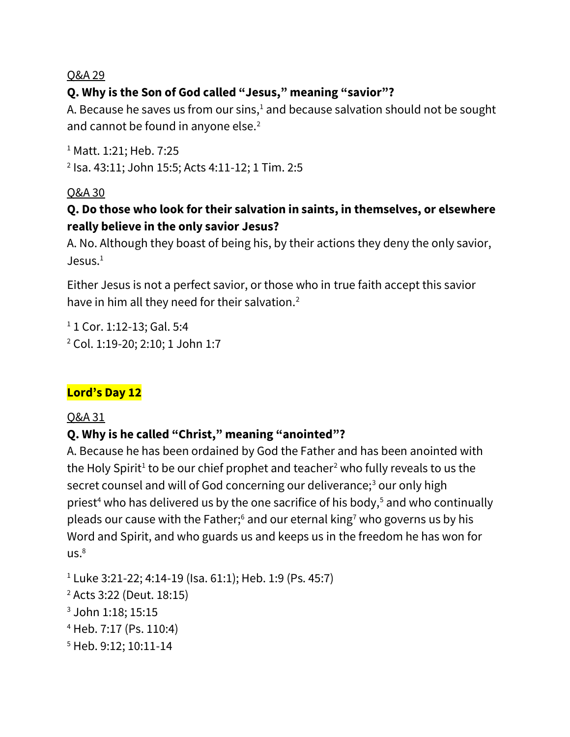### **Q. Why is the Son of God called "Jesus," meaning "savior"?**

A. Because he saves us from our sins, $1$  and because salvation should not be sought and cannot be found in anyone else.<sup>2</sup>

<sup>1</sup> Matt. 1:21; Heb. 7:25 2 Isa. 43:11; John 15:5; Acts 4:11-12; 1 Tim. 2:5

Q&A 30

### **Q. Do those who look for their salvation in saints, in themselves, or elsewhere really believe in the only savior Jesus?**

A. No. Although they boast of being his, by their actions they deny the only savior,  $J$ esus. $1$ 

Either Jesus is not a perfect savior, or those who in true faith accept this savior have in him all they need for their salvation.<sup>2</sup>

<sup>1</sup> 1 Cor. 1:12-13; Gal. 5:4 <sup>2</sup> Col. 1:19-20; 2:10; 1 John 1:7

### **Lord's Day 12**

#### Q&A 31

### **Q. Why is he called "Christ," meaning "anointed"?**

A. Because he has been ordained by God the Father and has been anointed with the Holy Spirit<sup>1</sup> to be our chief prophet and teacher<sup>2</sup> who fully reveals to us the secret counsel and will of God concerning our deliverance;<sup>3</sup> our only high priest<sup>4</sup> who has delivered us by the one sacrifice of his body,<sup>5</sup> and who continually pleads our cause with the Father; $6$  and our eternal king<sup>7</sup> who governs us by his Word and Spirit, and who guards us and keeps us in the freedom he has won for  $US.<sup>8</sup>$ 

 Luke 3:21-22; 4:14-19 (Isa. 61:1); Heb. 1:9 (Ps. 45:7) Acts 3:22 (Deut. 18:15) John 1:18; 15:15 Heb. 7:17 (Ps. 110:4) Heb. 9:12; 10:11-14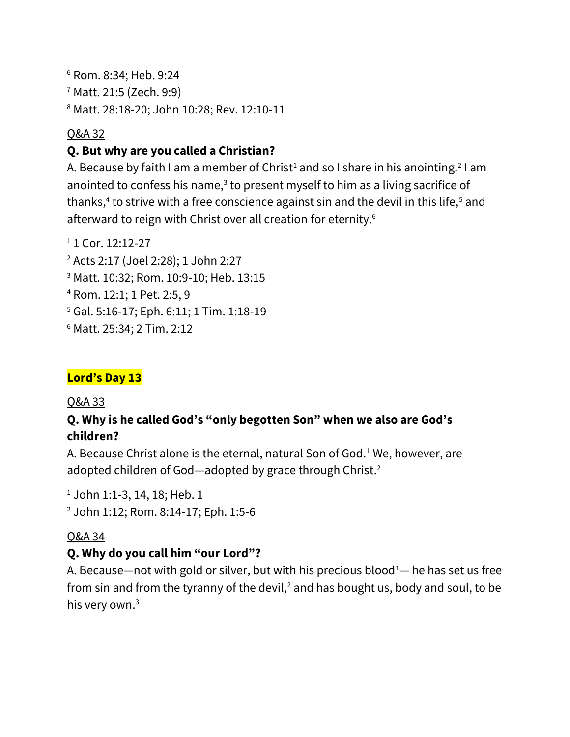<sup>6</sup> Rom. 8:34; Heb. 9:24 <sup>7</sup> Matt. 21:5 (Zech. 9:9) <sup>8</sup> Matt. 28:18-20; John 10:28; Rev. 12:10-11

#### Q&A 32

### **Q. But why are you called a Christian?**

A. Because by faith I am a member of Christ<sup>1</sup> and so I share in his anointing.<sup>2</sup> I am anointed to confess his name, $3$  to present myself to him as a living sacrifice of thanks,<sup>4</sup> to strive with a free conscience against sin and the devil in this life,<sup>5</sup> and afterward to reign with Christ over all creation for eternity.<sup>6</sup>

<sup>1</sup> 1 Cor. 12:12-27 Acts 2:17 (Joel 2:28); 1 John 2:27 Matt. 10:32; Rom. 10:9-10; Heb. 13:15 Rom. 12:1; 1 Pet. 2:5, 9 Gal. 5:16-17; Eph. 6:11; 1 Tim. 1:18-19 Matt. 25:34; 2 Tim. 2:12

# **Lord's Day 13**

#### Q&A 33

### **Q. Why is he called God's "only begotten Son" when we also are God's children?**

A. Because Christ alone is the eternal, natural Son of God.<sup>1</sup> We, however, are adopted children of God—adopted by grace through Christ.<sup>2</sup>

<sup>1</sup> John 1:1-3, 14, 18; Heb. 1

<sup>2</sup> John 1:12; Rom. 8:14-17; Eph. 1:5-6

#### Q&A 34

### **Q. Why do you call him "our Lord"?**

A. Because—not with gold or silver, but with his precious blood<sup>1</sup>— he has set us free from sin and from the tyranny of the devil, $2$  and has bought us, body and soul, to be his very own.3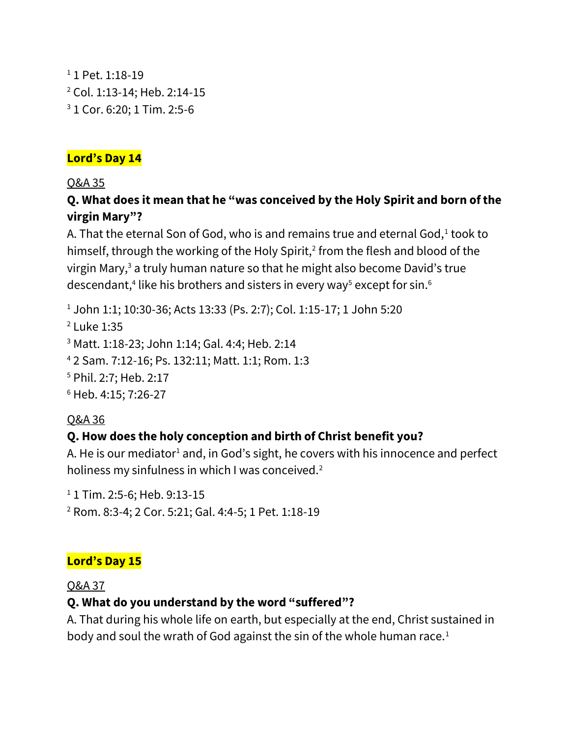```
<sup>1</sup> 1 Pet. 1:18-19
2 Col. 1:13-14; Heb. 2:14-15
3 1 Cor. 6:20; 1 Tim. 2:5-6
```
#### **Lord's Day 14**

Q&A 35

# **Q. What does it mean that he "was conceived by the Holy Spirit and born of the virgin Mary"?**

A. That the eternal Son of God, who is and remains true and eternal God, $^1$  took to himself, through the working of the Holy Spirit,<sup>2</sup> from the flesh and blood of the virgin Mary,<sup>3</sup> a truly human nature so that he might also become David's true descendant, $^4$  like his brothers and sisters in every way $^5$  except for sin. $^6$ 

<sup>1</sup> John 1:1; 10:30-36; Acts 13:33 (Ps. 2:7); Col. 1:15-17; 1 John 5:20

 Luke 1:35 Matt. 1:18-23; John 1:14; Gal. 4:4; Heb. 2:14 2 Sam. 7:12-16; Ps. 132:11; Matt. 1:1; Rom. 1:3 Phil. 2:7; Heb. 2:17 Heb. 4:15; 7:26-27

# Q&A 36

# **Q. How does the holy conception and birth of Christ benefit you?**

A. He is our mediator<sup>1</sup> and, in God's sight, he covers with his innocence and perfect holiness my sinfulness in which I was conceived.<sup>2</sup>

<sup>1</sup> 1 Tim. 2:5-6; Heb. 9:13-15

<sup>2</sup> Rom. 8:3-4; 2 Cor. 5:21; Gal. 4:4-5; 1 Pet. 1:18-19

# **Lord's Day 15**

Q&A 37

# **Q. What do you understand by the word "suffered"?**

A. That during his whole life on earth, but especially at the end, Christ sustained in body and soul the wrath of God against the sin of the whole human race.<sup>1</sup>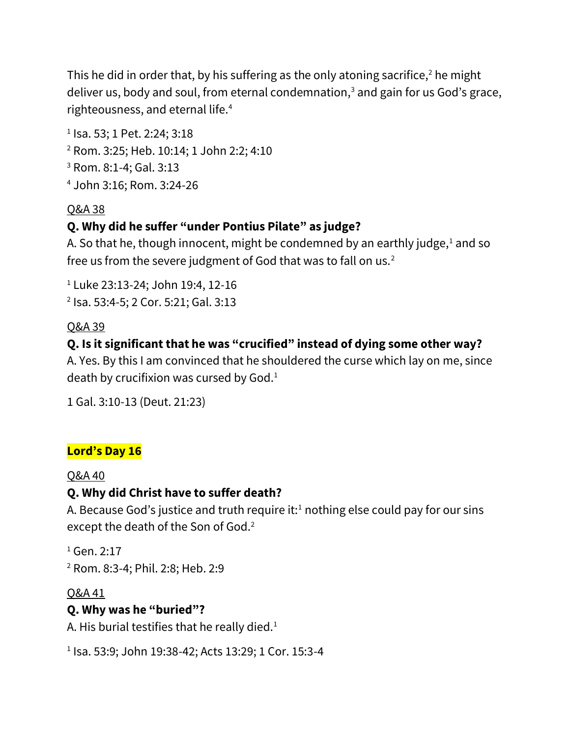This he did in order that, by his suffering as the only atoning sacrifice, $2$  he might deliver us, body and soul, from eternal condemnation, $3$  and gain for us God's grace, righteousness, and eternal life.<sup>4</sup>

 Isa. 53; 1 Pet. 2:24; 3:18 Rom. 3:25; Heb. 10:14; 1 John 2:2; 4:10 Rom. 8:1-4; Gal. 3:13 John 3:16; Rom. 3:24-26

### Q&A 38

### **Q. Why did he suffer "under Pontius Pilate" as judge?**

A. So that he, though innocent, might be condemned by an earthly judge, $1$  and so free us from the severe judgment of God that was to fall on us.<sup>2</sup>

<sup>1</sup> Luke 23:13-24; John 19:4, 12-16 2 Isa. 53:4-5; 2 Cor. 5:21; Gal. 3:13

#### Q&A 39

### **Q. Is it significant that he was "crucified" instead of dying some other way?**

A. Yes. By this I am convinced that he shouldered the curse which lay on me, since death by crucifixion was cursed by  $God.<sup>1</sup>$ 

1 Gal. 3:10-13 (Deut. 21:23)

### **Lord's Day 16**

#### Q&A 40

### **Q. Why did Christ have to suffer death?**

A. Because God's justice and truth require it:<sup>1</sup> nothing else could pay for our sins except the death of the Son of God.<sup>2</sup>

<sup>1</sup> Gen. 2:17 <sup>2</sup> Rom. 8:3-4; Phil. 2:8; Heb. 2:9

#### Q&A 41

#### **Q. Why was he "buried"?**

A. His burial testifies that he really died. $1$ 

1 Isa. 53:9; John 19:38-42; Acts 13:29; 1 Cor. 15:3-4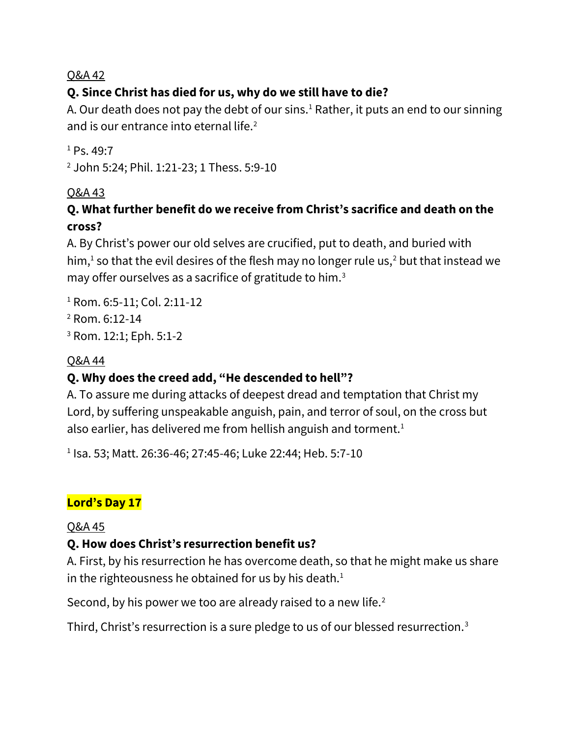# **Q. Since Christ has died for us, why do we still have to die?**

A. Our death does not pay the debt of our sins.<sup>1</sup> Rather, it puts an end to our sinning and is our entrance into eternal life.<sup>2</sup>

 $1 Ps$ . 49.7

<sup>2</sup> John 5:24; Phil. 1:21-23; 1 Thess. 5:9-10

### Q&A 43

# **Q. What further benefit do we receive from Christ's sacrifice and death on the cross?**

A. By Christ's power our old selves are crucified, put to death, and buried with him, $<sup>1</sup>$  so that the evil desires of the flesh may no longer rule us, $<sup>2</sup>$  but that instead we</sup></sup> may offer ourselves as a sacrifice of gratitude to him.<sup>3</sup>

- <sup>1</sup> Rom. 6:5-11; Col. 2:11-12
- <sup>2</sup> Rom. 6:12-14
- <sup>3</sup> Rom. 12:1; Eph. 5:1-2

### Q&A 44

# **Q. Why does the creed add, "He descended to hell"?**

A. To assure me during attacks of deepest dread and temptation that Christ my Lord, by suffering unspeakable anguish, pain, and terror of soul, on the cross but also earlier, has delivered me from hellish anguish and torment.<sup>1</sup>

1 Isa. 53; Matt. 26:36-46; 27:45-46; Luke 22:44; Heb. 5:7-10

# **Lord's Day 17**

### Q&A 45

# **Q. How does Christ's resurrection benefit us?**

A. First, by his resurrection he has overcome death, so that he might make us share in the righteousness he obtained for us by his death. $<sup>1</sup>$ </sup>

Second, by his power we too are already raised to a new life.<sup>2</sup>

Third, Christ's resurrection is a sure pledge to us of our blessed resurrection.3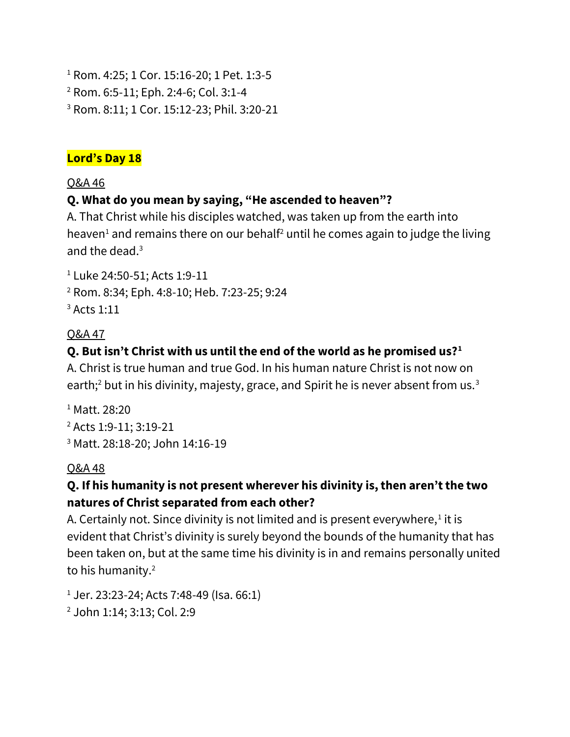<sup>1</sup> Rom. 4:25; 1 Cor. 15:16-20; 1 Pet. 1:3-5 <sup>2</sup> Rom. 6:5-11; Eph. 2:4-6; Col. 3:1-4 <sup>3</sup> Rom. 8:11; 1 Cor. 15:12-23; Phil. 3:20-21

#### **Lord's Day 18**

#### Q&A 46

### **Q. What do you mean by saying, "He ascended to heaven"?**

A. That Christ while his disciples watched, was taken up from the earth into heaven<sup>1</sup> and remains there on our behalf<sup>2</sup> until he comes again to judge the living and the dead.<sup>3</sup>

<sup>1</sup> Luke 24:50-51; Acts 1:9-11 <sup>2</sup> Rom. 8:34; Eph. 4:8-10; Heb. 7:23-25; 9:24

 $3$  Acts 1:11

### Q&A 47

### **Q. But isn't Christ with us until the end of the world as he promised us?<sup>1</sup>**

A. Christ is true human and true God. In his human nature Christ is not now on earth;<sup>2</sup> but in his divinity, majesty, grace, and Spirit he is never absent from us.<sup>3</sup>

<sup>1</sup> Matt. 28:20 <sup>2</sup> Acts 1:9-11; 3:19-21 <sup>3</sup> Matt. 28:18-20; John 14:16-19

### Q&A 48

### **Q. If his humanity is not present wherever his divinity is, then aren't the two natures of Christ separated from each other?**

A. Certainly not. Since divinity is not limited and is present everywhere, $^1$  it is evident that Christ's divinity is surely beyond the bounds of the humanity that has been taken on, but at the same time his divinity is in and remains personally united to his humanity.<sup>2</sup>

 $1$  Jer. 23:23-24; Acts 7:48-49 (Isa. 66:1)

<sup>2</sup> John 1:14; 3:13; Col. 2:9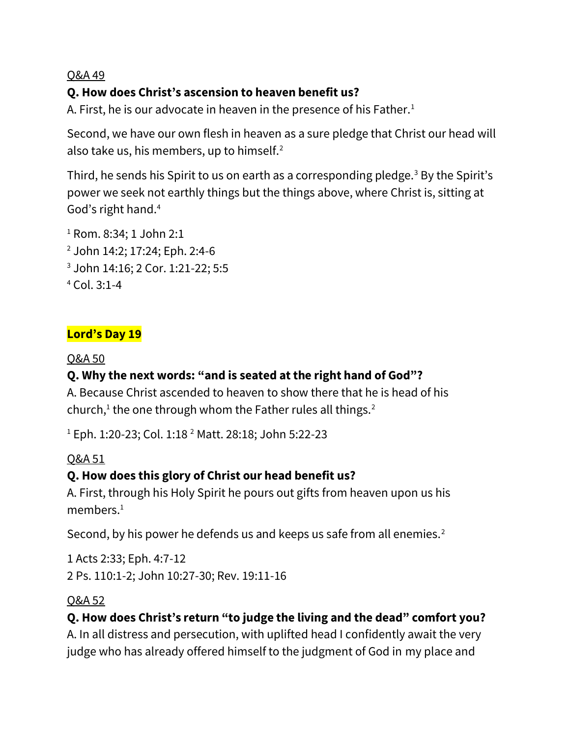# **Q. How does Christ's ascension to heaven benefit us?**

A. First, he is our advocate in heaven in the presence of his Father.<sup>1</sup>

Second, we have our own flesh in heaven as a sure pledge that Christ our head will also take us, his members, up to himself.<sup>2</sup>

Third, he sends his Spirit to us on earth as a corresponding pledge.<sup>3</sup> By the Spirit's power we seek not earthly things but the things above, where Christ is, sitting at God's right hand.<sup>4</sup>

 Rom. 8:34; 1 John 2:1 John 14:2; 17:24; Eph. 2:4-6 John 14:16; 2 Cor. 1:21-22; 5:5 Col. 3:1-4

### **Lord's Day 19**

#### Q&A 50

# **Q. Why the next words: "and is seated at the right hand of God"?**

A. Because Christ ascended to heaven to show there that he is head of his church, $<sup>1</sup>$  the one through whom the Father rules all things.<sup>2</sup></sup>

<sup>1</sup> Eph. 1:20-23; Col. 1:18<sup>2</sup> Matt. 28:18; John 5:22-23

### Q&A 51

### **Q. How does this glory of Christ our head benefit us?**

A. First, through his Holy Spirit he pours out gifts from heaven upon us his members.<sup>1</sup>

Second, by his power he defends us and keeps us safe from all enemies.<sup>2</sup>

1 Acts 2:33; Eph. 4:7-12 2 Ps. 110:1-2; John 10:27-30; Rev. 19:11-16

### Q&A 52

# **Q. How does Christ's return "to judge the living and the dead" comfort you?**

A. In all distress and persecution, with uplifted head I confidently await the very judge who has already offered himself to the judgment of God in my place and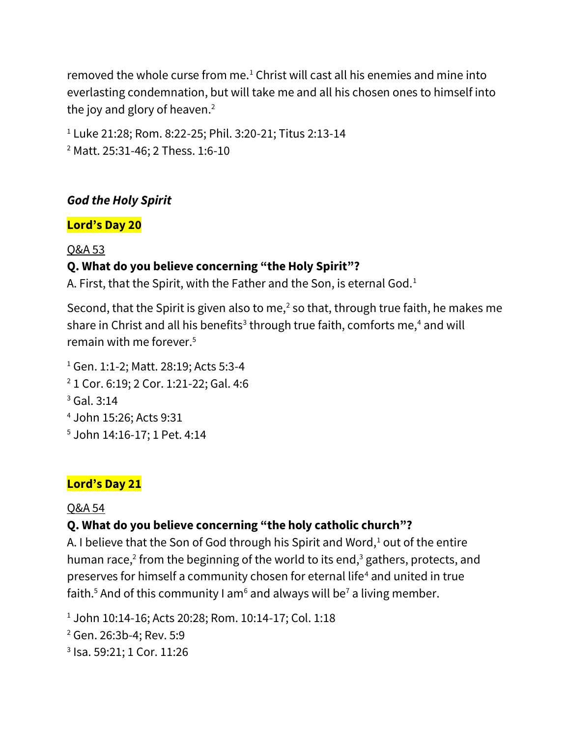removed the whole curse from me.<sup>1</sup> Christ will cast all his enemies and mine into everlasting condemnation, but will take me and all his chosen ones to himself into the joy and glory of heaven. $2$ 

<sup>1</sup> Luke 21:28; Rom. 8:22-25; Phil. 3:20-21; Titus 2:13-14 <sup>2</sup> Matt. 25:31-46; 2 Thess. 1:6-10

### *God the Holy Spirit*

#### **Lord's Day 20**

#### Q&A 53

### **Q. What do you believe concerning "the Holy Spirit"?**

A. First, that the Spirit, with the Father and the Son, is eternal God.<sup>1</sup>

Second, that the Spirit is given also to me, $^2$  so that, through true faith, he makes me share in Christ and all his benefits<sup>3</sup> through true faith, comforts me,<sup>4</sup> and will remain with me forever.<sup>5</sup>

<sup>1</sup> Gen. 1:1-2; Matt. 28:19; Acts 5:3-4 1 Cor. 6:19; 2 Cor. 1:21-22; Gal. 4:6 Gal. 3:14 John 15:26; Acts 9:31 John 14:16-17; 1 Pet. 4:14

#### **Lord's Day 21**

#### Q&A 54

# **Q. What do you believe concerning "the holy catholic church"?**

A. I believe that the Son of God through his Spirit and Word, $1$  out of the entire human race,<sup>2</sup> from the beginning of the world to its end,<sup>3</sup> gathers, protects, and preserves for himself a community chosen for eternal life<sup>4</sup> and united in true faith.<sup>5</sup> And of this community I am<sup>6</sup> and always will be<sup>7</sup> a living member.

<sup>1</sup> John 10:14-16; Acts 20:28; Rom. 10:14-17; Col. 1:18

<sup>2</sup> Gen. 26:3b-4; Rev. 5:9

3 Isa. 59:21; 1 Cor. 11:26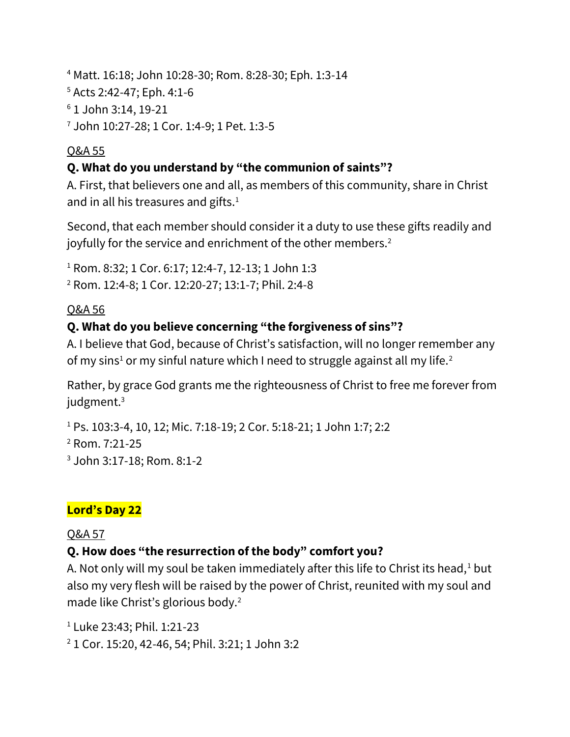Matt. 16:18; John 10:28-30; Rom. 8:28-30; Eph. 1:3-14 Acts 2:42-47; Eph. 4:1-6 1 John 3:14, 19-21 John 10:27-28; 1 Cor. 1:4-9; 1 Pet. 1:3-5

### Q&A 55

# **Q. What do you understand by "the communion of saints"?**

A. First, that believers one and all, as members of this community, share in Christ and in all his treasures and gifts.<sup>1</sup>

Second, that each member should consider it a duty to use these gifts readily and joyfully for the service and enrichment of the other members.<sup>2</sup>

<sup>1</sup> Rom. 8:32; 1 Cor. 6:17; 12:4-7, 12-13; 1 John 1:3 <sup>2</sup> Rom. 12:4-8; 1 Cor. 12:20-27; 13:1-7; Phil. 2:4-8

### Q&A 56

# **Q. What do you believe concerning "the forgiveness of sins"?**

A. I believe that God, because of Christ's satisfaction, will no longer remember any of my sins<sup>1</sup> or my sinful nature which I need to struggle against all my life.<sup>2</sup>

Rather, by grace God grants me the righteousness of Christ to free me forever from judgment.<sup>3</sup>

<sup>1</sup> Ps. 103:3-4, 10, 12; Mic. 7:18-19; 2 Cor. 5:18-21; 1 John 1:7; 2:2 <sup>2</sup> Rom. 7:21-25 <sup>3</sup> John 3:17-18; Rom. 8:1-2

# **Lord's Day 22**

### Q&A 57

# **Q. How does "the resurrection of the body" comfort you?**

A. Not only will my soul be taken immediately after this life to Christ its head, $1$  but also my very flesh will be raised by the power of Christ, reunited with my soul and made like Christ's glorious body.<sup>2</sup>

<sup>1</sup> Luke 23:43; Phil. 1:21-23

<sup>2</sup> 1 Cor. 15:20, 42-46, 54; Phil. 3:21; 1 John 3:2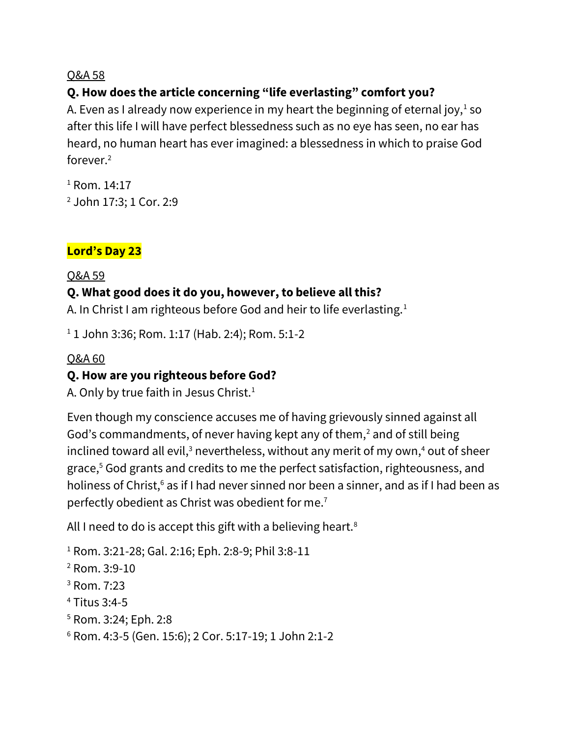### **Q. How does the article concerning "life everlasting" comfort you?**

A. Even as I already now experience in my heart the beginning of eternal joy, $^1$  so after this life I will have perfect blessedness such as no eye has seen, no ear has heard, no human heart has ever imagined: a blessedness in which to praise God forever.<sup>2</sup>

 $1$  Rom. 14:17 <sup>2</sup> John 17:3; 1 Cor. 2:9

### **Lord's Day 23**

Q&A 59

#### **Q. What good does it do you, however, to believe all this?**

A. In Christ I am righteous before God and heir to life everlasting.<sup>1</sup>

 $1$  1 John 3:36; Rom. 1:17 (Hab. 2:4); Rom. 5:1-2

#### Q&A 60

### **Q. How are you righteous before God?**

A. Only by true faith in Jesus Christ.<sup>1</sup>

Even though my conscience accuses me of having grievously sinned against all God's commandments, of never having kept any of them,<sup>2</sup> and of still being inclined toward all evil,<sup>3</sup> nevertheless, without any merit of my own,<sup>4</sup> out of sheer grace,<sup>5</sup> God grants and credits to me the perfect satisfaction, righteousness, and holiness of Christ,<sup>6</sup> as if I had never sinned nor been a sinner, and as if I had been as perfectly obedient as Christ was obedient for me.<sup>7</sup>

All I need to do is accept this gift with a believing heart.<sup>8</sup>

 Rom. 3:21-28; Gal. 2:16; Eph. 2:8-9; Phil 3:8-11 Rom. 3:9-10 Rom. 7:23 Titus 3:4-5 Rom. 3:24; Eph. 2:8 Rom. 4:3-5 (Gen. 15:6); 2 Cor. 5:17-19; 1 John 2:1-2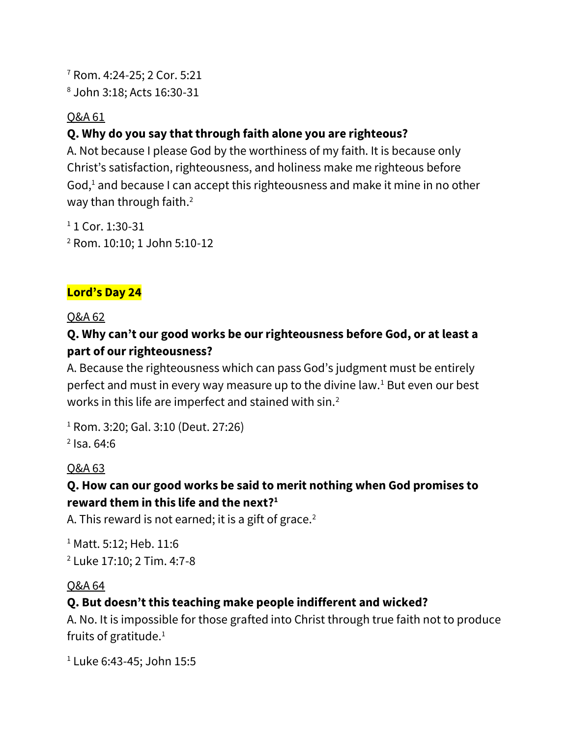<sup>7</sup> Rom. 4:24-25; 2 Cor. 5:21 <sup>8</sup> John 3:18; Acts 16:30-31

#### Q&A 61

# **Q. Why do you say that through faith alone you are righteous?**

A. Not because I please God by the worthiness of my faith. It is because only Christ's satisfaction, righteousness, and holiness make me righteous before God,<sup>1</sup> and because I can accept this righteousness and make it mine in no other way than through faith.<sup>2</sup>

 $11$  Cor. 1:30-31 <sup>2</sup> Rom. 10:10; 1 John 5:10-12

# **Lord's Day 24**

#### Q&A 62

# **Q. Why can't our good works be our righteousness before God, or at least a part of our righteousness?**

A. Because the righteousness which can pass God's judgment must be entirely perfect and must in every way measure up to the divine law.<sup>1</sup> But even our best works in this life are imperfect and stained with sin.<sup>2</sup>

<sup>1</sup> Rom. 3:20; Gal. 3:10 (Deut. 27:26)  $<sup>2</sup>$  Isa. 64:6</sup>

### Q&A 63

### **Q. How can our good works be said to merit nothing when God promises to reward them in this life and the next?<sup>1</sup>**

A. This reward is not earned; it is a gift of grace. $2$ 

<sup>1</sup> Matt. 5:12; Heb. 11:6 <sup>2</sup> Luke 17:10; 2 Tim. 4:7-8

### Q&A 64

# **Q. But doesn't this teaching make people indifferent and wicked?**

A. No. It is impossible for those grafted into Christ through true faith not to produce fruits of gratitude.<sup>1</sup>

<sup>1</sup> Luke 6:43-45; John 15:5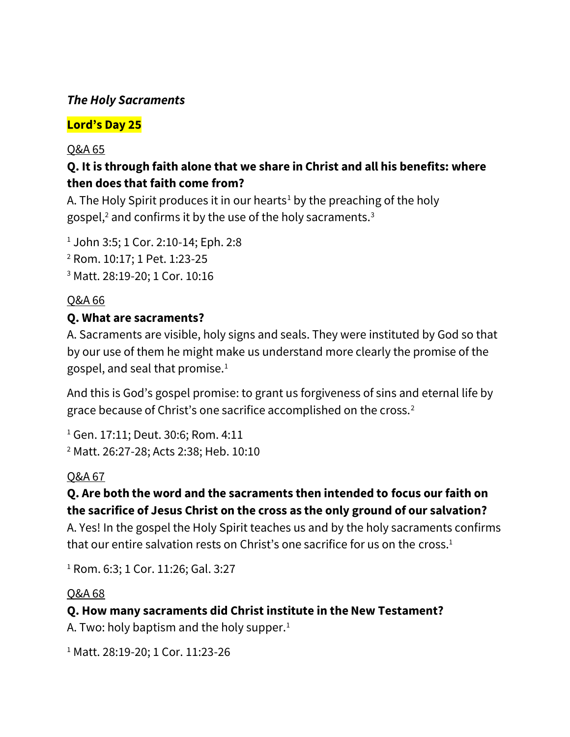### *The Holy Sacraments*

# **Lord's Day 25**

#### Q&A 65

### **Q. It is through faith alone that we share in Christ and all his benefits: where then does that faith come from?**

A. The Holy Spirit produces it in our hearts<sup>1</sup> by the preaching of the holy gospel, $2$  and confirms it by the use of the holy sacraments.<sup>3</sup>

<sup>1</sup> John 3:5; 1 Cor. 2:10-14; Eph. 2:8 <sup>2</sup> Rom. 10:17; 1 Pet. 1:23-25 <sup>3</sup> Matt. 28:19-20; 1 Cor. 10:16

### Q&A 66

#### **Q. What are sacraments?**

A. Sacraments are visible, holy signs and seals. They were instituted by God so that by our use of them he might make us understand more clearly the promise of the gospel, and seal that promise.<sup>1</sup>

And this is God's gospel promise: to grant us forgiveness of sins and eternal life by grace because of Christ's one sacrifice accomplished on the cross.<sup>2</sup>

<sup>1</sup> Gen. 17:11; Deut. 30:6; Rom. 4:11 <sup>2</sup> Matt. 26:27-28; Acts 2:38; Heb. 10:10

### Q&A 67

### **Q. Are both the word and the sacraments then intended to focus our faith on the sacrifice of Jesus Christ on the cross as the only ground of our salvation?**

A. Yes! In the gospel the Holy Spirit teaches us and by the holy sacraments confirms that our entire salvation rests on Christ's one sacrifice for us on the cross. $1$ 

<sup>1</sup> Rom. 6:3; 1 Cor. 11:26; Gal. 3:27

#### Q&A 68

### **Q. How many sacraments did Christ institute in the New Testament?**

A. Two: holy baptism and the holy supper. $<sup>1</sup>$ </sup>

<sup>1</sup> Matt. 28:19-20; 1 Cor. 11:23-26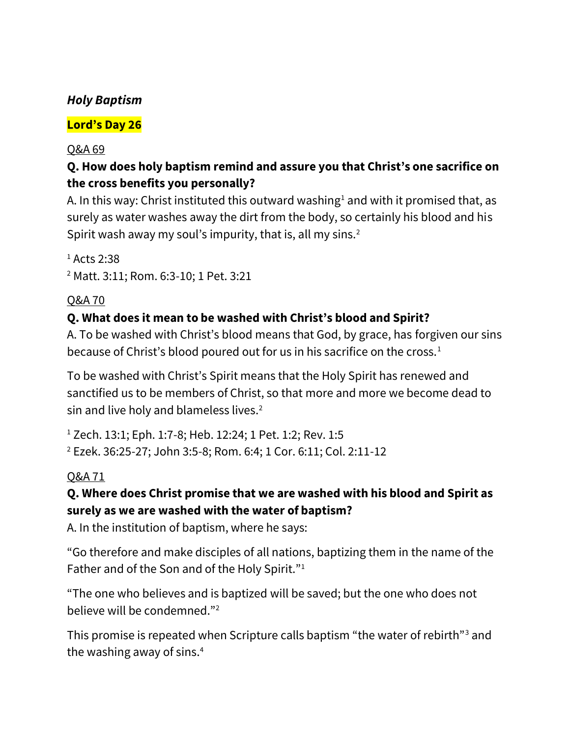### *Holy Baptism*

# **Lord's Day 26**

#### Q&A 69

# **Q. How does holy baptism remind and assure you that Christ's one sacrifice on the cross benefits you personally?**

A. In this way: Christ instituted this outward washing<sup>1</sup> and with it promised that, as surely as water washes away the dirt from the body, so certainly his blood and his Spirit wash away my soul's impurity, that is, all my sins. $2$ 

 $<sup>1</sup>$  Acts 2:38</sup> <sup>2</sup> Matt. 3:11; Rom. 6:3-10; 1 Pet. 3:21

# Q&A 70

### **Q. What does it mean to be washed with Christ's blood and Spirit?**

A. To be washed with Christ's blood means that God, by grace, has forgiven our sins because of Christ's blood poured out for us in his sacrifice on the cross.<sup>1</sup>

To be washed with Christ's Spirit means that the Holy Spirit has renewed and sanctified us to be members of Christ, so that more and more we become dead to sin and live holy and blameless lives.<sup>2</sup>

<sup>1</sup> Zech. 13:1; Eph. 1:7-8; Heb. 12:24; 1 Pet. 1:2; Rev. 1:5 <sup>2</sup> Ezek. 36:25-27; John 3:5-8; Rom. 6:4; 1 Cor. 6:11; Col. 2:11-12

### Q&A 71

### **Q. Where does Christ promise that we are washed with his blood and Spirit as surely as we are washed with the water of baptism?**

A. In the institution of baptism, where he says:

"Go therefore and make disciples of all nations, baptizing them in the name of the Father and of the Son and of the Holy Spirit."<sup>1</sup>

"The one who believes and is baptized will be saved; but the one who does not believe will be condemned."<sup>2</sup>

This promise is repeated when Scripture calls baptism "the water of rebirth"<sup>3</sup> and the washing away of sins.<sup>4</sup>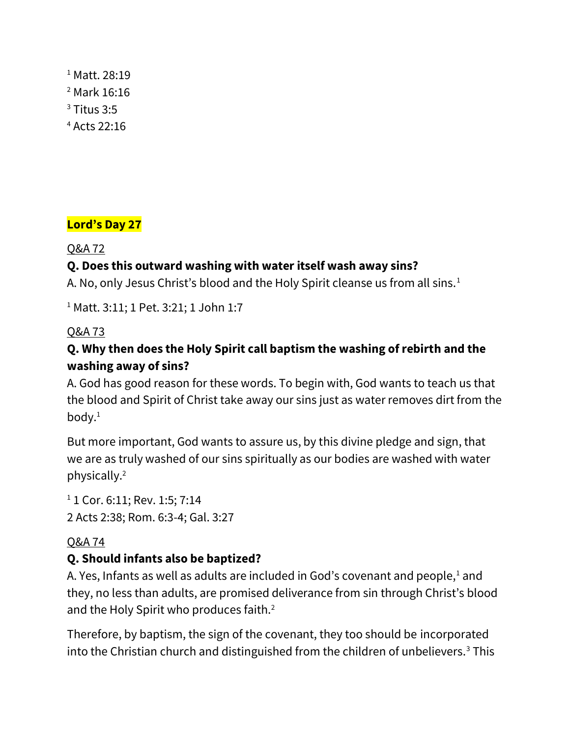<sup>1</sup> Matt. 28:19 Mark 16:16 Titus 3:5 Acts 22:16

# **Lord's Day 27**

### Q&A 72

### **Q. Does this outward washing with water itself wash away sins?**

A. No, only Jesus Christ's blood and the Holy Spirit cleanse us from all sins.<sup>1</sup>

<sup>1</sup> Matt. 3:11; 1 Pet. 3:21; 1 John 1:7

### Q&A 73

# **Q. Why then does the Holy Spirit call baptism the washing of rebirth and the washing away of sins?**

A. God has good reason for these words. To begin with, God wants to teach us that the blood and Spirit of Christ take away our sins just as water removes dirt from the body.<sup>1</sup>

But more important, God wants to assure us, by this divine pledge and sign, that we are as truly washed of our sins spiritually as our bodies are washed with water physically.<sup>2</sup>

<sup>1</sup> 1 Cor. 6:11; Rev. 1:5; 7:14 2 Acts 2:38; Rom. 6:3-4; Gal. 3:27

### Q&A 74

### **Q. Should infants also be baptized?**

A. Yes, Infants as well as adults are included in God's covenant and people,<sup>1</sup> and they, no less than adults, are promised deliverance from sin through Christ's blood and the Holy Spirit who produces faith.<sup>2</sup>

Therefore, by baptism, the sign of the covenant, they too should be incorporated into the Christian church and distinguished from the children of unbelievers.<sup>3</sup> This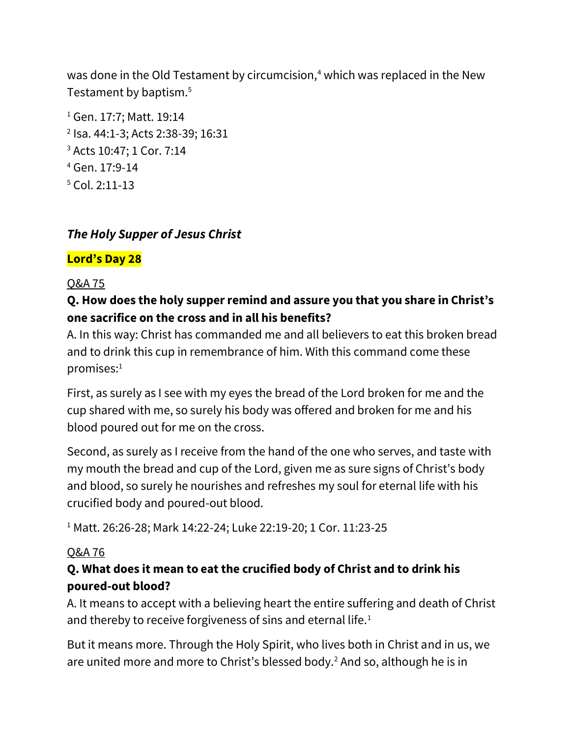was done in the Old Testament by circumcision, $4$  which was replaced in the New Testament by baptism.<sup>5</sup>

 Gen. 17:7; Matt. 19:14 Isa. 44:1-3; Acts 2:38-39; 16:31 Acts 10:47; 1 Cor. 7:14 Gen. 17:9-14 Col. 2:11-13

# *The Holy Supper of Jesus Christ*

### **Lord's Day 28**

#### Q&A 75

### **Q. How does the holy supper remind and assure you that you share in Christ's one sacrifice on the cross and in all his benefits?**

A. In this way: Christ has commanded me and all believers to eat this broken bread and to drink this cup in remembrance of him. With this command come these promises:<sup>1</sup>

First, as surely as I see with my eyes the bread of the Lord broken for me and the cup shared with me, so surely his body was offered and broken for me and his blood poured out for me on the cross.

Second, as surely as I receive from the hand of the one who serves, and taste with my mouth the bread and cup of the Lord, given me as sure signs of Christ's body and blood, so surely he nourishes and refreshes my soul for eternal life with his crucified body and poured-out blood.

<sup>1</sup> Matt. 26:26-28; Mark 14:22-24; Luke 22:19-20; 1 Cor. 11:23-25

#### Q&A 76

### **Q. What does it mean to eat the crucified body of Christ and to drink his poured-out blood?**

A. It means to accept with a believing heart the entire suffering and death of Christ and thereby to receive forgiveness of sins and eternal life.<sup>1</sup>

But it means more. Through the Holy Spirit, who lives both in Christ and in us, we are united more and more to Christ's blessed body.<sup>2</sup> And so, although he is in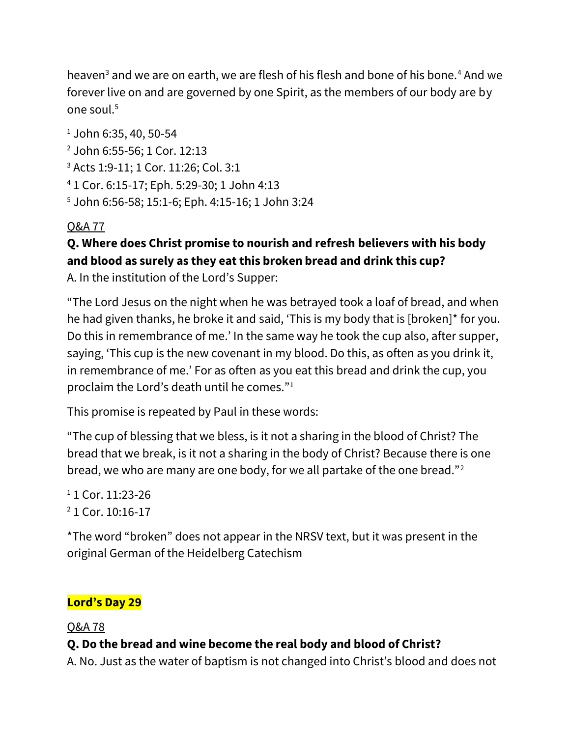heaven<sup>3</sup> and we are on earth, we are flesh of his flesh and bone of his bone.<sup>4</sup> And we forever live on and are governed by one Spirit, as the members of our body are by one soul.<sup>5</sup>

 $1$  John 6:35, 40, 50-54

- <sup>2</sup> John 6:55-56; 1 Cor. 12:13
- <sup>3</sup> Acts 1:9-11; 1 Cor. 11:26; Col. 3:1
- <sup>4</sup> 1 Cor. 6:15-17; Eph. 5:29-30; 1 John 4:13
- <sup>5</sup> John 6:56-58; 15:1-6; Eph. 4:15-16; 1 John 3:24

# Q&A 77

# **Q. Where does Christ promise to nourish and refresh believers with his body and blood as surely as they eat this broken bread and drink this cup?**

A. In the institution of the Lord's Supper:

"The Lord Jesus on the night when he was betrayed took a loaf of bread, and when he had given thanks, he broke it and said, 'This is my body that is [broken]\* for you. Do this in remembrance of me.' In the same way he took the cup also, after supper, saying, 'This cup is the new covenant in my blood. Do this, as often as you drink it, in remembrance of me.' For as often as you eat this bread and drink the cup, you proclaim the Lord's death until he comes."<sup>1</sup>

This promise is repeated by Paul in these words:

"The cup of blessing that we bless, is it not a sharing in the blood of Christ? The bread that we break, is it not a sharing in the body of Christ? Because there is one bread, we who are many are one body, for we all partake of the one bread."<sup>2</sup>

<sup>1</sup> 1 Cor. 11:23-26

<sup>2</sup> 1 Cor. 10:16-17

\*The word "broken" does not appear in the NRSV text, but it was present in the original German of the Heidelberg Catechism

# **Lord's Day 29**

Q&A 78

# **Q. Do the bread and wine become the real body and blood of Christ?**

A. No. Just as the water of baptism is not changed into Christ's blood and does not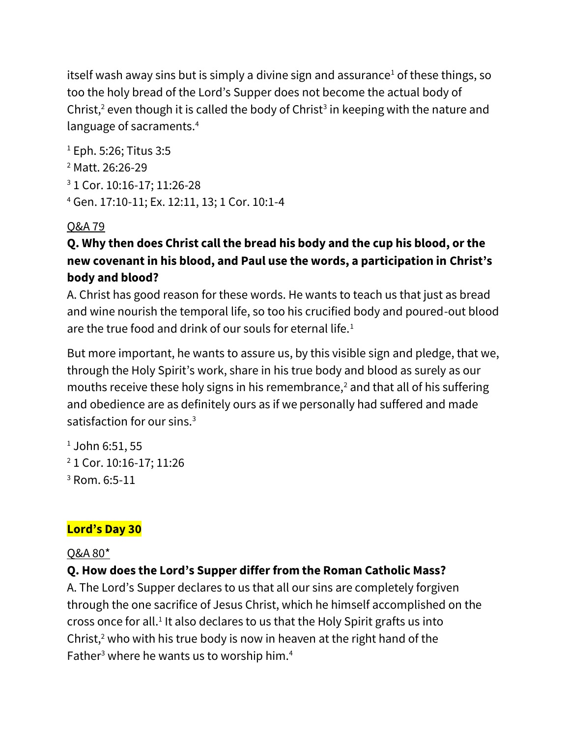itself wash away sins but is simply a divine sign and assurance<sup>1</sup> of these things, so too the holy bread of the Lord's Supper does not become the actual body of Christ,<sup>2</sup> even though it is called the body of Christ<sup>3</sup> in keeping with the nature and language of sacraments.<sup>4</sup>

 Eph. 5:26; Titus 3:5 Matt. 26:26-29 1 Cor. 10:16-17; 11:26-28 Gen. 17:10-11; Ex. 12:11, 13; 1 Cor. 10:1-4

### Q&A 79

# **Q. Why then does Christ call the bread his body and the cup his blood, or the new covenant in his blood, and Paul use the words, a participation in Christ's body and blood?**

A. Christ has good reason for these words. He wants to teach us that just as bread and wine nourish the temporal life, so too his crucified body and poured-out blood are the true food and drink of our souls for eternal life.<sup>1</sup>

But more important, he wants to assure us, by this visible sign and pledge, that we, through the Holy Spirit's work, share in his true body and blood as surely as our mouths receive these holy signs in his remembrance,<sup>2</sup> and that all of his suffering and obedience are as definitely ours as if we personally had suffered and made satisfaction for our sins.<sup>3</sup>

 $1$  John 6:51, 55 <sup>2</sup> 1 Cor. 10:16-17; 11:26 <sup>3</sup> Rom. 6:5-11

# **Lord's Day 30**

### Q&A 80\*

# **Q. How does the Lord's Supper differ from the Roman Catholic Mass?**

A. The Lord's Supper declares to us that all our sins are completely forgiven through the one sacrifice of Jesus Christ, which he himself accomplished on the cross once for all.<sup>1</sup> It also declares to us that the Holy Spirit grafts us into Christ, $2$  who with his true body is now in heaven at the right hand of the Father<sup>3</sup> where he wants us to worship him.<sup>4</sup>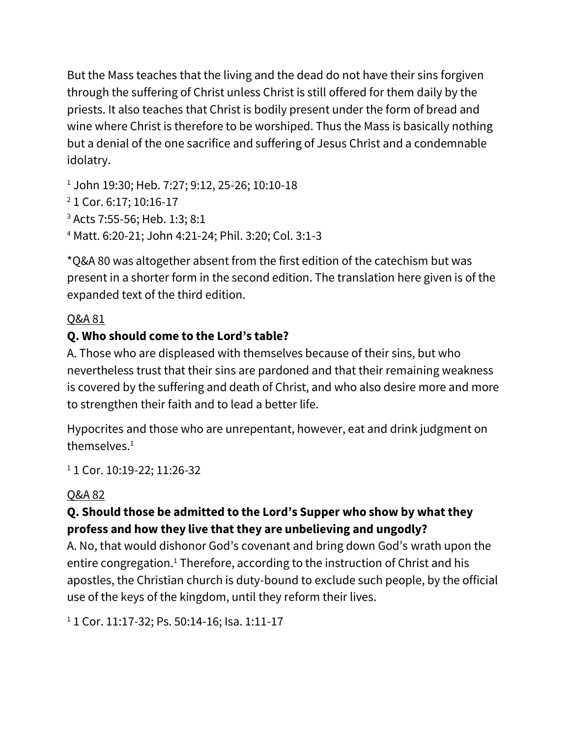But the Mass teaches that the living and the dead do not have their sins forgiven through the suffering of Christ unless Christ is still offered for them daily by the priests. It also teaches that Christ is bodily present under the form of bread and wine where Christ is therefore to be worshiped. Thus the Mass is basically nothing but a denial of the one sacrifice and suffering of Jesus Christ and a condemnable idolatry.

<sup>1</sup> John 19:30; Heb. 7:27; 9:12, 25-26; 10:10-18

- <sup>2</sup> 1 Cor. 6:17; 10:16-17
- <sup>3</sup> Acts 7:55-56; Heb. 1:3; 8:1

<sup>4</sup> Matt. 6:20-21; John 4:21-24; Phil. 3:20; Col. 3:1-3

\*Q&A 80 was altogether absent from the first edition of the catechism but was present in a shorter form in the second edition. The translation here given is of the expanded text of the third edition.

# Q&A 81

# **Q. Who should come to the Lord's table?**

A. Those who are displeased with themselves because of their sins, but who nevertheless trust that their sins are pardoned and that their remaining weakness is covered by the suffering and death of Christ, and who also desire more and more to strengthen their faith and to lead a better life.

Hypocrites and those who are unrepentant, however, eat and drink judgment on themselves. $1$ 

<sup>1</sup> 1 Cor. 10:19-22; 11:26-32

# Q&A 82

### **Q. Should those be admitted to the Lord's Supper who show by what they profess and how they live that they are unbelieving and ungodly?**

A. No, that would dishonor God's covenant and bring down God's wrath upon the entire congregation.<sup>1</sup> Therefore, according to the instruction of Christ and his apostles, the Christian church is duty-bound to exclude such people, by the official use of the keys of the kingdom, until they reform their lives.

<sup>1</sup> 1 Cor. 11:17-32; Ps. 50:14-16; Isa. 1:11-17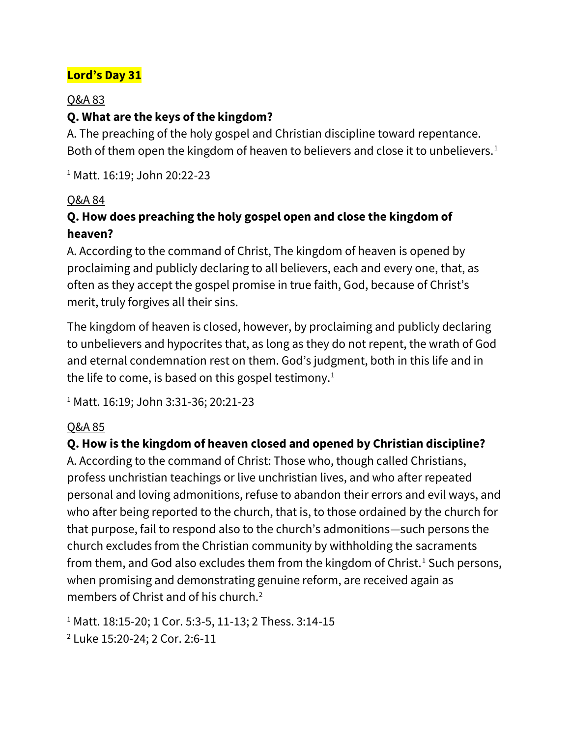# **Lord's Day 31**

#### Q&A 83

#### **Q. What are the keys of the kingdom?**

A. The preaching of the holy gospel and Christian discipline toward repentance. Both of them open the kingdom of heaven to believers and close it to unbelievers.<sup>1</sup>

<sup>1</sup> Matt. 16:19; John 20:22-23

#### Q&A 84

### **Q. How does preaching the holy gospel open and close the kingdom of heaven?**

A. According to the command of Christ, The kingdom of heaven is opened by proclaiming and publicly declaring to all believers, each and every one, that, as often as they accept the gospel promise in true faith, God, because of Christ's merit, truly forgives all their sins.

The kingdom of heaven is closed, however, by proclaiming and publicly declaring to unbelievers and hypocrites that, as long as they do not repent, the wrath of God and eternal condemnation rest on them. God's judgment, both in this life and in the life to come, is based on this gospel testimony.<sup>1</sup>

<sup>1</sup> Matt. 16:19; John 3:31-36; 20:21-23

#### Q&A 85

#### **Q. How is the kingdom of heaven closed and opened by Christian discipline?**

A. According to the command of Christ: Those who, though called Christians, profess unchristian teachings or live unchristian lives, and who after repeated personal and loving admonitions, refuse to abandon their errors and evil ways, and who after being reported to the church, that is, to those ordained by the church for that purpose, fail to respond also to the church's admonitions—such persons the church excludes from the Christian community by withholding the sacraments from them, and God also excludes them from the kingdom of Christ.<sup>1</sup> Such persons, when promising and demonstrating genuine reform, are received again as members of Christ and of his church.<sup>2</sup>

<sup>1</sup> Matt. 18:15-20; 1 Cor. 5:3-5, 11-13; 2 Thess. 3:14-15

<sup>2</sup> Luke 15:20-24; 2 Cor. 2:6-11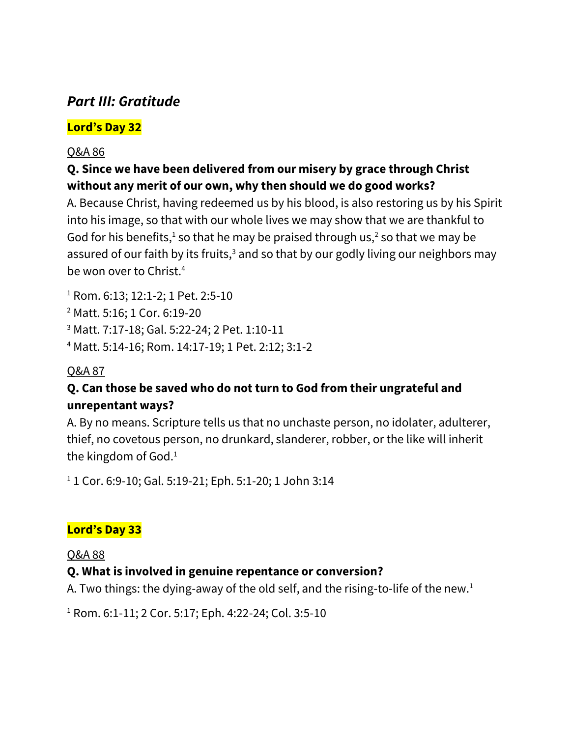# *Part III: Gratitude*

### **Lord's Day 32**

#### Q&A 86

### **Q. Since we have been delivered from our misery by grace through Christ without any merit of our own, why then should we do good works?**

A. Because Christ, having redeemed us by his blood, is also restoring us by his Spirit into his image, so that with our whole lives we may show that we are thankful to God for his benefits,<sup>1</sup> so that he may be praised through us,<sup>2</sup> so that we may be assured of our faith by its fruits, $3$  and so that by our godly living our neighbors may be won over to Christ.<sup>4</sup>

<sup>1</sup> Rom. 6:13; 12:1-2; 1 Pet. 2:5-10

<sup>2</sup> Matt. 5:16; 1 Cor. 6:19-20

<sup>3</sup> Matt. 7:17-18; Gal. 5:22-24; 2 Pet. 1:10-11

<sup>4</sup> Matt. 5:14-16; Rom. 14:17-19; 1 Pet. 2:12; 3:1-2

#### Q&A 87

### **Q. Can those be saved who do not turn to God from their ungrateful and unrepentant ways?**

A. By no means. Scripture tells us that no unchaste person, no idolater, adulterer, thief, no covetous person, no drunkard, slanderer, robber, or the like will inherit the kingdom of God.<sup>1</sup>

<sup>1</sup> 1 Cor. 6:9-10; Gal. 5:19-21; Eph. 5:1-20; 1 John 3:14

### **Lord's Day 33**

Q&A 88

### **Q. What is involved in genuine repentance or conversion?**

A. Two things: the dying-away of the old self, and the rising-to-life of the new.<sup>1</sup>

<sup>1</sup> Rom. 6:1-11; 2 Cor. 5:17; Eph. 4:22-24; Col. 3:5-10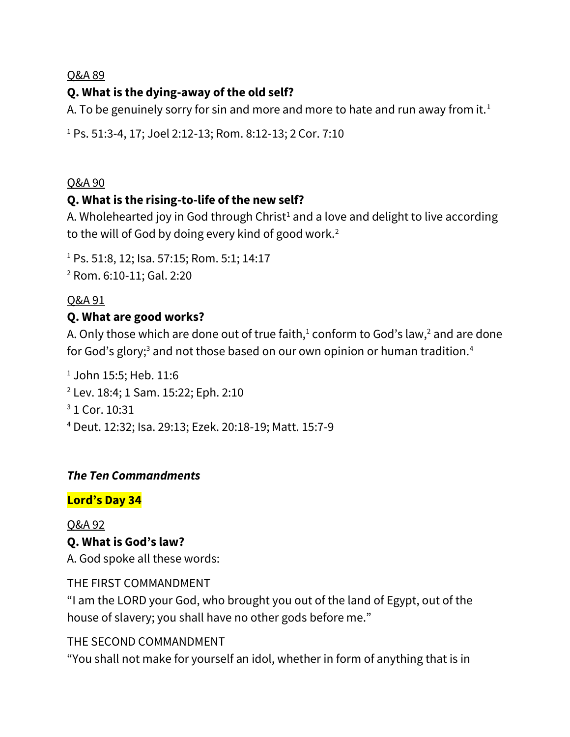### **Q. What is the dying-away of the old self?**

A. To be genuinely sorry for sin and more and more to hate and run away from it.<sup>1</sup>

<sup>1</sup> Ps. 51:3-4, 17; Joel 2:12-13; Rom. 8:12-13; 2 Cor. 7:10

#### Q&A 90

#### **Q. What is the rising-to-life of the new self?**

A. Wholehearted joy in God through Christ<sup>1</sup> and a love and delight to live according to the will of God by doing every kind of good work.<sup>2</sup>

<sup>1</sup> Ps. 51:8, 12; Isa. 57:15; Rom. 5:1; 14:17 <sup>2</sup> Rom. 6:10-11; Gal. 2:20

#### Q&A 91

#### **Q. What are good works?**

A. Only those which are done out of true faith, $1$  conform to God's law, $2$  and are done for God's glory;<sup>3</sup> and not those based on our own opinion or human tradition.<sup>4</sup>

 John 15:5; Heb. 11:6 Lev. 18:4; 1 Sam. 15:22; Eph. 2:10 1 Cor. 10:31 Deut. 12:32; Isa. 29:13; Ezek. 20:18-19; Matt. 15:7-9

#### *The Ten Commandments*

#### **Lord's Day 34**

Q&A 92 **Q. What is God's law?** A. God spoke all these words:

THE FIRST COMMANDMENT

"I am the LORD your God, who brought you out of the land of Egypt, out of the house of slavery; you shall have no other gods before me."

#### THE SECOND COMMANDMENT

"You shall not make for yourself an idol, whether in form of anything that is in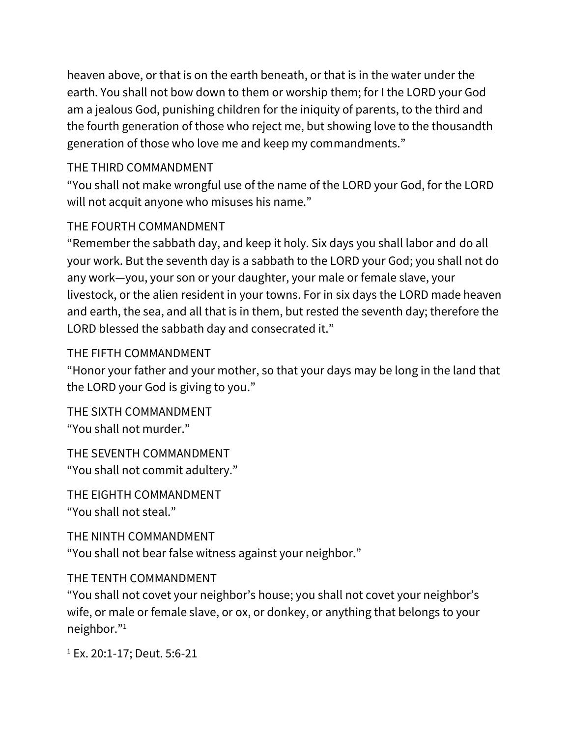heaven above, or that is on the earth beneath, or that is in the water under the earth. You shall not bow down to them or worship them; for I the LORD your God am a jealous God, punishing children for the iniquity of parents, to the third and the fourth generation of those who reject me, but showing love to the thousandth generation of those who love me and keep my commandments."

#### THE THIRD COMMANDMENT

"You shall not make wrongful use of the name of the LORD your God, for the LORD will not acquit anyone who misuses his name."

#### THE FOURTH COMMANDMENT

"Remember the sabbath day, and keep it holy. Six days you shall labor and do all your work. But the seventh day is a sabbath to the LORD your God; you shall not do any work—you, your son or your daughter, your male or female slave, your livestock, or the alien resident in your towns. For in six days the LORD made heaven and earth, the sea, and all that is in them, but rested the seventh day; therefore the LORD blessed the sabbath day and consecrated it."

#### THE FIFTH COMMANDMENT

"Honor your father and your mother, so that your days may be long in the land that the LORD your God is giving to you."

THE SIXTH COMMANDMENT "You shall not murder."

THE SEVENTH COMMANDMENT "You shall not commit adultery."

THE EIGHTH COMMANDMENT "You shall not steal."

THE NINTH COMMANDMENT "You shall not bear false witness against your neighbor."

#### THE TENTH COMMANDMENT

"You shall not covet your neighbor's house; you shall not covet your neighbor's wife, or male or female slave, or ox, or donkey, or anything that belongs to your neighbor."<sup>1</sup>

<sup>1</sup> Ex. 20:1-17; Deut. 5:6-21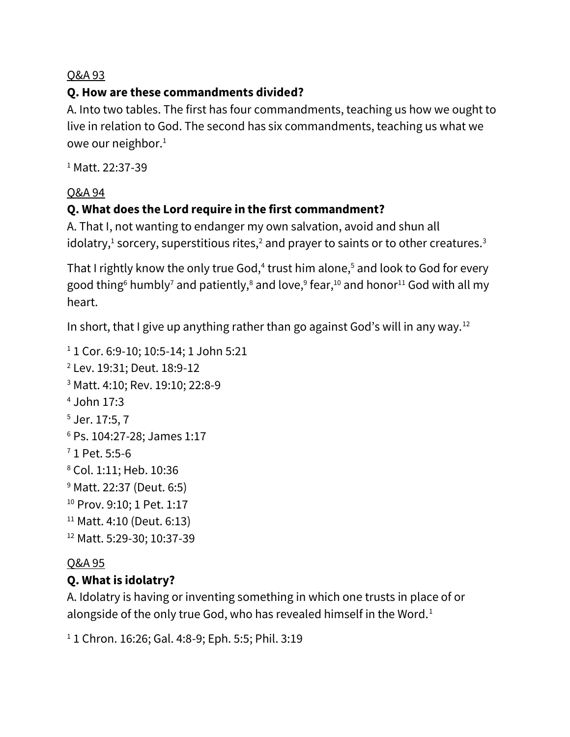# **Q. How are these commandments divided?**

A. Into two tables. The first has four commandments, teaching us how we ought to live in relation to God. The second has six commandments, teaching us what we owe our neighbor.<sup>1</sup>

<sup>1</sup> Matt. 22:37-39

### Q&A 94

# **Q. What does the Lord require in the first commandment?**

A. That I, not wanting to endanger my own salvation, avoid and shun all idolatry, $^1$  sorcery, superstitious rites, $^2$  and prayer to saints or to other creatures. $^3$ 

That I rightly know the only true God, $^4$  trust him alone, $^5$  and look to God for every good thing $^6$  humbly<sup>7</sup> and patiently, $^8$  and love, $^9$  fear, $^{10}$  and honor $^{11}$  God with all my heart.

In short, that I give up anything rather than go against God's will in any way.<sup>12</sup>

```
<sup>1</sup> 1 Cor. 6:9-10; 10:5-14; 1 John 5:21
2 Lev. 19:31; Deut. 18:9-12
3 Matt. 4:10; Rev. 19:10; 22:8-9
4 John 17:3
5 Jer. 17:5, 7
6 Ps. 104:27-28; James 1:17
7 1 Pet. 5:5-6
8 Col. 1:11; Heb. 10:36
9 Matt. 22:37 (Deut. 6:5)
<sup>10</sup> Prov. 9:10; 1 Pet. 1:17
11 Matt. 4:10 (Deut. 6:13)
12 Matt. 5:29-30; 10:37-39
```
### Q&A 95

# **Q. What is idolatry?**

A. Idolatry is having or inventing something in which one trusts in place of or alongside of the only true God, who has revealed himself in the Word.<sup>1</sup>

```
1 1 Chron. 16:26; Gal. 4:8-9; Eph. 5:5; Phil. 3:19
```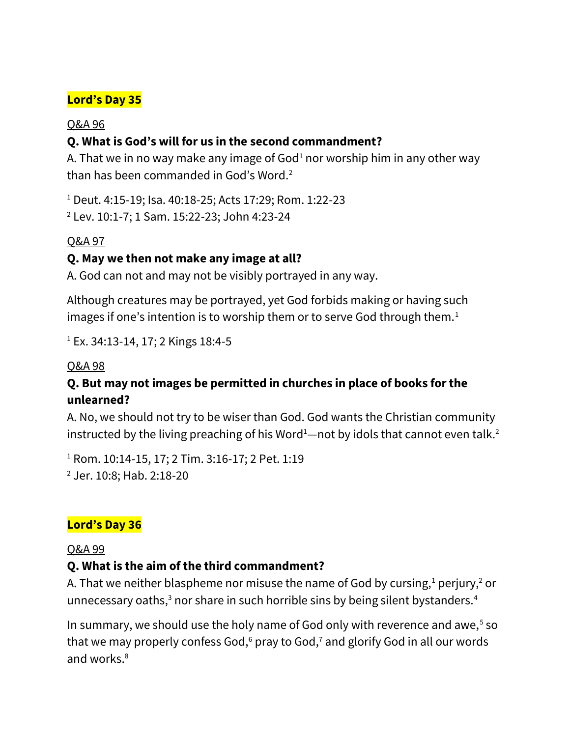#### **Lord's Day 35**

#### Q&A 96

#### **Q. What is God's will for us in the second commandment?**

A. That we in no way make any image of God<sup>1</sup> nor worship him in any other way than has been commanded in God's Word.<sup>2</sup>

<sup>1</sup> Deut. 4:15-19; Isa. 40:18-25; Acts 17:29; Rom. 1:22-23

<sup>2</sup> Lev. 10:1-7; 1 Sam. 15:22-23; John 4:23-24

#### Q&A 97

#### **Q. May we then not make any image at all?**

A. God can not and may not be visibly portrayed in any way.

Although creatures may be portrayed, yet God forbids making or having such images if one's intention is to worship them or to serve God through them.<sup>1</sup>

<sup>1</sup> Ex. 34:13-14, 17; 2 Kings 18:4-5

#### Q&A 98

#### **Q. But may not images be permitted in churches in place of books for the unlearned?**

A. No, we should not try to be wiser than God. God wants the Christian community instructed by the living preaching of his Word<sup>1</sup>—not by idols that cannot even talk.<sup>2</sup>

<sup>1</sup> Rom. 10:14-15, 17; 2 Tim. 3:16-17; 2 Pet. 1:19 <sup>2</sup> Jer. 10:8; Hab. 2:18-20

### **Lord's Day 36**

#### Q&A 99

#### **Q. What is the aim of the third commandment?**

A. That we neither blaspheme nor misuse the name of God by cursing, $1$  perjury, $2$  or unnecessary oaths,<sup>3</sup> nor share in such horrible sins by being silent bystanders.<sup>4</sup>

In summary, we should use the holy name of God only with reverence and awe, $5$  so that we may properly confess God, $6$  pray to God, $7$  and glorify God in all our words and works.<sup>8</sup>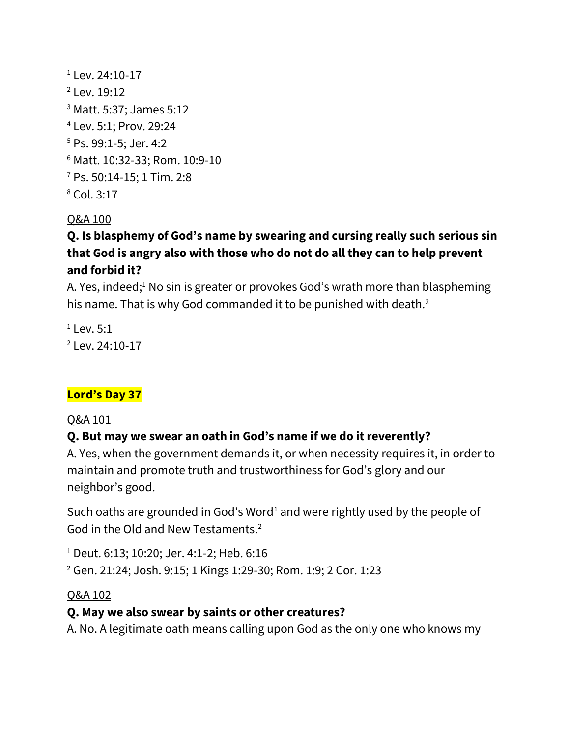Lev. 24:10-17 Lev. 19:12 Matt. 5:37; James 5:12 Lev. 5:1; Prov. 29:24 Ps. 99:1-5; Jer. 4:2 Matt. 10:32-33; Rom. 10:9-10 Ps. 50:14-15; 1 Tim. 2:8 Col. 3:17

#### Q&A 100

# **Q. Is blasphemy of God's name by swearing and cursing really such serious sin that God is angry also with those who do not do all they can to help prevent and forbid it?**

A. Yes, indeed;<sup>1</sup> No sin is greater or provokes God's wrath more than blaspheming his name. That is why God commanded it to be punished with death.<sup>2</sup>

 $1$  Lev. 5:1  $2$  Lev. 24:10-17

# **Lord's Day 37**

#### Q&A 101

### **Q. But may we swear an oath in God's name if we do it reverently?**

A. Yes, when the government demands it, or when necessity requires it, in order to maintain and promote truth and trustworthiness for God's glory and our neighbor's good.

Such oaths are grounded in God's Word<sup>1</sup> and were rightly used by the people of God in the Old and New Testaments.<sup>2</sup>

<sup>1</sup> Deut. 6:13; 10:20; Jer. 4:1-2; Heb. 6:16

<sup>2</sup> Gen. 21:24; Josh. 9:15; 1 Kings 1:29-30; Rom. 1:9; 2 Cor. 1:23

#### Q&A 102

#### **Q. May we also swear by saints or other creatures?**

A. No. A legitimate oath means calling upon God as the only one who knows my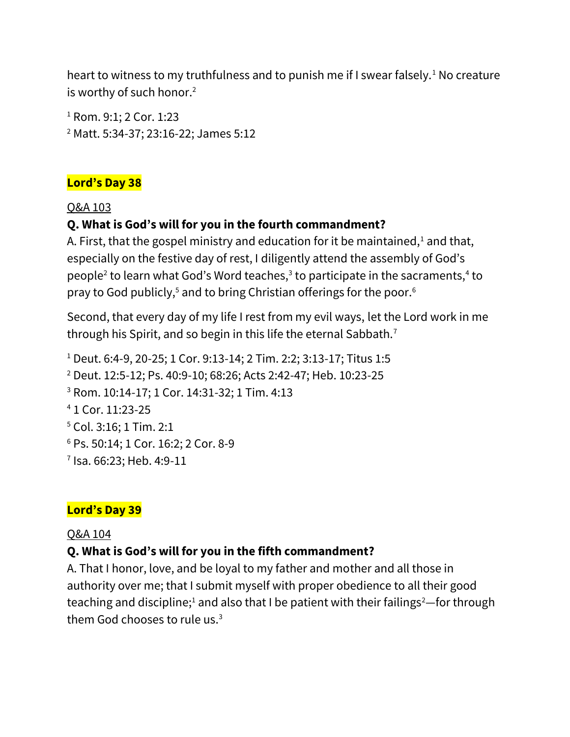heart to witness to my truthfulness and to punish me if I swear falsely.<sup>1</sup> No creature is worthy of such honor.<sup>2</sup>

<sup>1</sup> Rom. 9:1; 2 Cor. 1:23 <sup>2</sup> Matt. 5:34-37; 23:16-22; James 5:12

#### **Lord's Day 38**

#### Q&A 103

#### **Q. What is God's will for you in the fourth commandment?**

A. First, that the gospel ministry and education for it be maintained, $1$  and that, especially on the festive day of rest, I diligently attend the assembly of God's people<sup>2</sup> to learn what God's Word teaches,<sup>3</sup> to participate in the sacraments,<sup>4</sup> to pray to God publicly,<sup>5</sup> and to bring Christian offerings for the poor.<sup>6</sup>

Second, that every day of my life I rest from my evil ways, let the Lord work in me through his Spirit, and so begin in this life the eternal Sabbath.<sup>7</sup>

 Deut. 6:4-9, 20-25; 1 Cor. 9:13-14; 2 Tim. 2:2; 3:13-17; Titus 1:5 Deut. 12:5-12; Ps. 40:9-10; 68:26; Acts 2:42-47; Heb. 10:23-25 Rom. 10:14-17; 1 Cor. 14:31-32; 1 Tim. 4:13 1 Cor. 11:23-25 Col. 3:16; 1 Tim. 2:1 Ps. 50:14; 1 Cor. 16:2; 2 Cor. 8-9 Isa. 66:23; Heb. 4:9-11

#### **Lord's Day 39**

#### Q&A 104

#### **Q. What is God's will for you in the fifth commandment?**

A. That I honor, love, and be loyal to my father and mother and all those in authority over me; that I submit myself with proper obedience to all their good teaching and discipline;<sup>1</sup> and also that I be patient with their failings<sup>2</sup>—for through them God chooses to rule us.3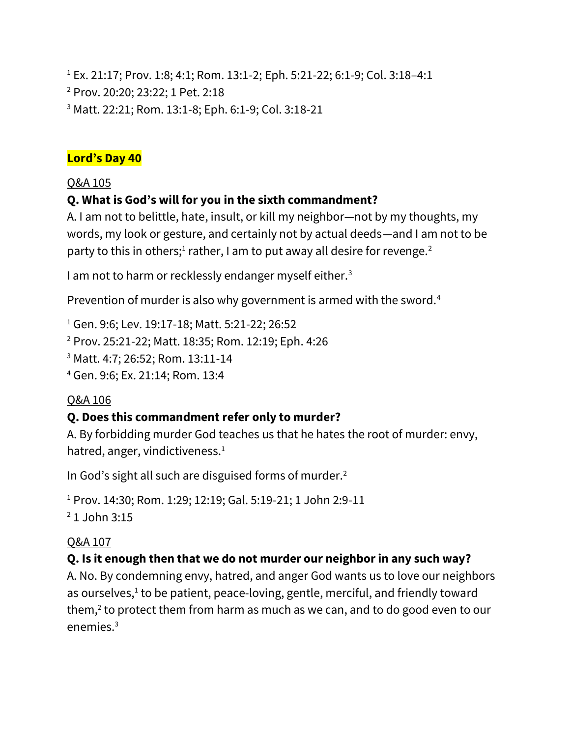<sup>1</sup> Ex. 21:17; Prov. 1:8; 4:1; Rom. 13:1-2; Eph. 5:21-22; 6:1-9; Col. 3:18–4:1 <sup>2</sup> Prov. 20:20; 23:22; 1 Pet. 2:18 <sup>3</sup> Matt. 22:21; Rom. 13:1-8; Eph. 6:1-9; Col. 3:18-21

#### **Lord's Day 40**

### Q&A 105

# **Q. What is God's will for you in the sixth commandment?**

A. I am not to belittle, hate, insult, or kill my neighbor—not by my thoughts, my words, my look or gesture, and certainly not by actual deeds—and I am not to be party to this in others;<sup>1</sup> rather, I am to put away all desire for revenge.<sup>2</sup>

I am not to harm or recklessly endanger myself either.<sup>3</sup>

Prevention of murder is also why government is armed with the sword.<sup>4</sup>

 Gen. 9:6; Lev. 19:17-18; Matt. 5:21-22; 26:52 Prov. 25:21-22; Matt. 18:35; Rom. 12:19; Eph. 4:26 Matt. 4:7; 26:52; Rom. 13:11-14 Gen. 9:6; Ex. 21:14; Rom. 13:4

### Q&A 106

### **Q. Does this commandment refer only to murder?**

A. By forbidding murder God teaches us that he hates the root of murder: envy, hatred, anger, vindictiveness. $<sup>1</sup>$ </sup>

In God's sight all such are disguised forms of murder.<sup>2</sup>

```
1 Prov. 14:30; Rom. 1:29; 12:19; Gal. 5:19-21; 1 John 2:9-11
2 1 John 3:15
```
### Q&A 107

# **Q. Is it enough then that we do not murder our neighbor in any such way?**

A. No. By condemning envy, hatred, and anger God wants us to love our neighbors as ourselves,<sup>1</sup> to be patient, peace-loving, gentle, merciful, and friendly toward them, $2$  to protect them from harm as much as we can, and to do good even to our  $enemies<sup>3</sup>$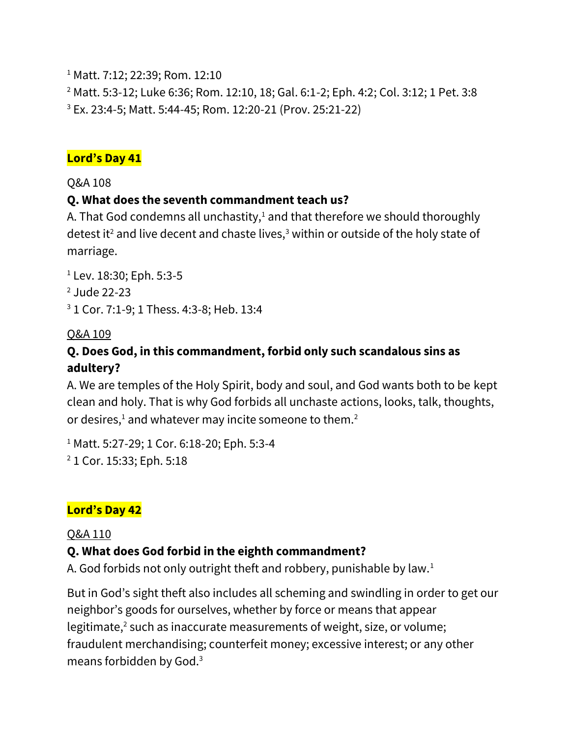<sup>1</sup> Matt. 7:12; 22:39; Rom. 12:10

<sup>2</sup> Matt. 5:3-12; Luke 6:36; Rom. 12:10, 18; Gal. 6:1-2; Eph. 4:2; Col. 3:12; 1 Pet. 3:8 <sup>3</sup> Ex. 23:4-5; Matt. 5:44-45; Rom. 12:20-21 (Prov. 25:21-22)

#### **Lord's Day 41**

Q&A 108

#### **Q. What does the seventh commandment teach us?**

A. That God condemns all unchastity, $1$  and that therefore we should thoroughly detest it<sup>2</sup> and live decent and chaste lives,<sup>3</sup> within or outside of the holy state of marriage.

<sup>1</sup> Lev. 18:30; Eph. 5:3-5 <sup>2</sup> Jude 22-23 <sup>3</sup> 1 Cor. 7:1-9; 1 Thess. 4:3-8; Heb. 13:4

### Q&A 109

### **Q. Does God, in this commandment, forbid only such scandalous sins as adultery?**

A. We are temples of the Holy Spirit, body and soul, and God wants both to be kept clean and holy. That is why God forbids all unchaste actions, looks, talk, thoughts, or desires, $1$  and whatever may incite someone to them.<sup>2</sup>

<sup>1</sup> Matt. 5:27-29; 1 Cor. 6:18-20; Eph. 5:3-4 <sup>2</sup> 1 Cor. 15:33; Eph. 5:18

# **Lord's Day 42**

#### Q&A 110

### **Q. What does God forbid in the eighth commandment?**

A. God forbids not only outright theft and robbery, punishable by law.<sup>1</sup>

But in God's sight theft also includes all scheming and swindling in order to get our neighbor's goods for ourselves, whether by force or means that appear legitimate,<sup>2</sup> such as inaccurate measurements of weight, size, or volume; fraudulent merchandising; counterfeit money; excessive interest; or any other means forbidden by God.3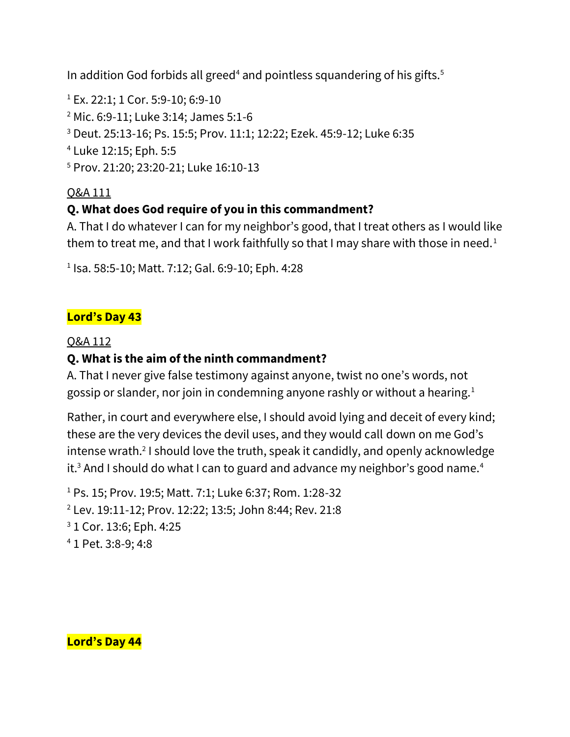In addition God forbids all greed<sup>4</sup> and pointless squandering of his gifts.<sup>5</sup>

 Ex. 22:1; 1 Cor. 5:9-10; 6:9-10 Mic. 6:9-11; Luke 3:14; James 5:1-6 Deut. 25:13-16; Ps. 15:5; Prov. 11:1; 12:22; Ezek. 45:9-12; Luke 6:35 Luke 12:15; Eph. 5:5 Prov. 21:20; 23:20-21; Luke 16:10-13

### Q&A 111

### **Q. What does God require of you in this commandment?**

A. That I do whatever I can for my neighbor's good, that I treat others as I would like them to treat me, and that I work faithfully so that I may share with those in need.<sup>1</sup>

1 Isa. 58:5-10; Matt. 7:12; Gal. 6:9-10; Eph. 4:28

### **Lord's Day 43**

#### Q&A 112

### **Q. What is the aim of the ninth commandment?**

A. That I never give false testimony against anyone, twist no one's words, not gossip or slander, nor join in condemning anyone rashly or without a hearing.<sup>1</sup>

Rather, in court and everywhere else, I should avoid lying and deceit of every kind; these are the very devices the devil uses, and they would call down on me God's intense wrath.<sup>2</sup> I should love the truth, speak it candidly, and openly acknowledge it.<sup>3</sup> And I should do what I can to guard and advance my neighbor's good name.<sup>4</sup>

 Ps. 15; Prov. 19:5; Matt. 7:1; Luke 6:37; Rom. 1:28-32 Lev. 19:11-12; Prov. 12:22; 13:5; John 8:44; Rev. 21:8 1 Cor. 13:6; Eph. 4:25 1 Pet. 3:8-9; 4:8

**Lord's Day 44**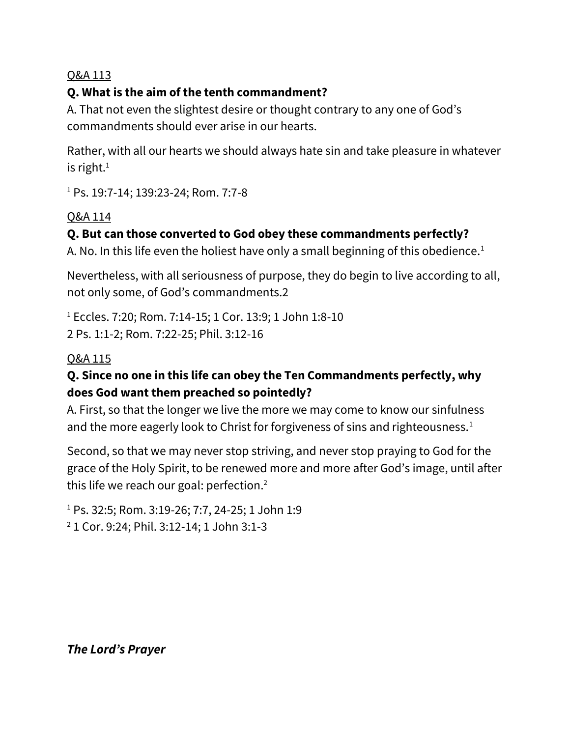### **Q. What is the aim of the tenth commandment?**

A. That not even the slightest desire or thought contrary to any one of God's commandments should ever arise in our hearts.

Rather, with all our hearts we should always hate sin and take pleasure in whatever is right. $1$ 

<sup>1</sup> Ps. 19:7-14; 139:23-24; Rom. 7:7-8

### Q&A 114

# **Q. But can those converted to God obey these commandments perfectly?**

A. No. In this life even the holiest have only a small beginning of this obedience.<sup>1</sup>

Nevertheless, with all seriousness of purpose, they do begin to live according to all, not only some, of God's commandments.2

<sup>1</sup> Eccles. 7:20; Rom. 7:14-15; 1 Cor. 13:9; 1 John 1:8-10 2 Ps. 1:1-2; Rom. 7:22-25; Phil. 3:12-16

### Q&A 115

# **Q. Since no one in this life can obey the Ten Commandments perfectly, why does God want them preached so pointedly?**

A. First, so that the longer we live the more we may come to know our sinfulness and the more eagerly look to Christ for forgiveness of sins and righteousness.<sup>1</sup>

Second, so that we may never stop striving, and never stop praying to God for the grace of the Holy Spirit, to be renewed more and more after God's image, until after this life we reach our goal: perfection.<sup>2</sup>

<sup>1</sup> Ps. 32:5; Rom. 3:19-26; 7:7, 24-25; 1 John 1:9

<sup>2</sup> 1 Cor. 9:24; Phil. 3:12-14; 1 John 3:1-3

*The Lord's Prayer*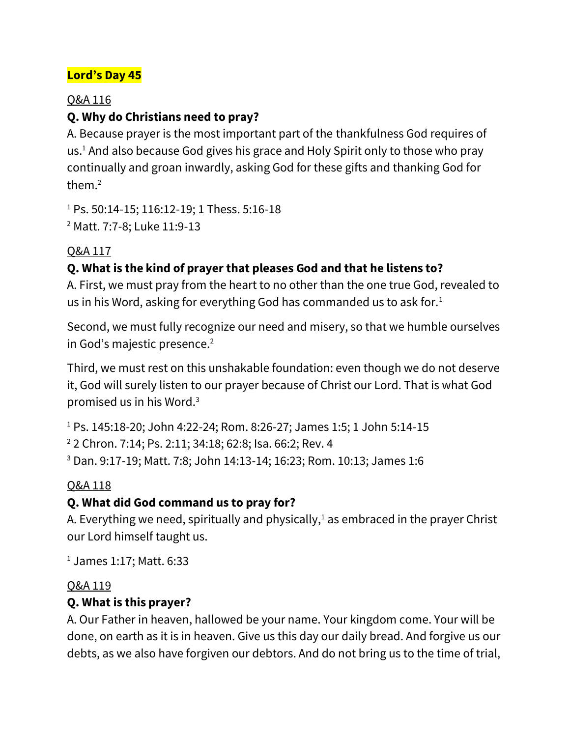# **Lord's Day 45**

#### Q&A 116

### **Q. Why do Christians need to pray?**

A. Because prayer is the most important part of the thankfulness God requires of us.<sup>1</sup> And also because God gives his grace and Holy Spirit only to those who pray continually and groan inwardly, asking God for these gifts and thanking God for them.<sup>2</sup>

<sup>1</sup> Ps. 50:14-15; 116:12-19; 1 Thess. 5:16-18 <sup>2</sup> Matt. 7:7-8; Luke 11:9-13

### Q&A 117

# **Q. What is the kind of prayer that pleases God and that he listens to?**

A. First, we must pray from the heart to no other than the one true God, revealed to us in his Word, asking for everything God has commanded us to ask for. $1$ 

Second, we must fully recognize our need and misery, so that we humble ourselves in God's majestic presence.<sup>2</sup>

Third, we must rest on this unshakable foundation: even though we do not deserve it, God will surely listen to our prayer because of Christ our Lord. That is what God promised us in his Word.<sup>3</sup>

<sup>1</sup> Ps. 145:18-20; John 4:22-24; Rom. 8:26-27; James 1:5; 1 John 5:14-15 <sup>2</sup> 2 Chron. 7:14; Ps. 2:11; 34:18; 62:8; Isa. 66:2; Rev. 4 <sup>3</sup> Dan. 9:17-19; Matt. 7:8; John 14:13-14; 16:23; Rom. 10:13; James 1:6

# Q&A 118

# **Q. What did God command us to pray for?**

A. Everything we need, spiritually and physically, $1$  as embraced in the prayer Christ our Lord himself taught us.

<sup>1</sup> James 1:17; Matt. 6:33

### Q&A 119

# **Q. What is this prayer?**

A. Our Father in heaven, hallowed be your name. Your kingdom come. Your will be done, on earth as it is in heaven. Give us this day our daily bread. And forgive us our debts, as we also have forgiven our debtors. And do not bring us to the time of trial,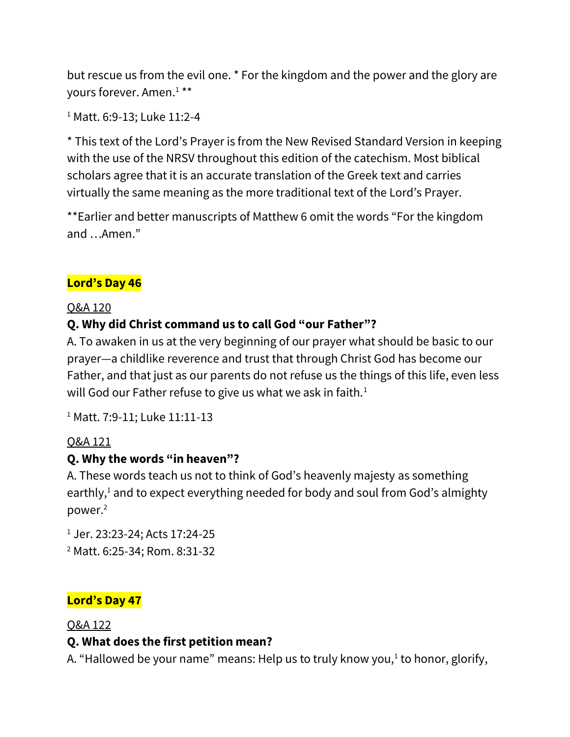but rescue us from the evil one. \* For the kingdom and the power and the glory are yours forever. Amen.<sup>1</sup> \*\*

```
1 Matt. 6:9-13; Luke 11:2-4
```
\* This text of the Lord's Prayer is from the New Revised Standard Version in keeping with the use of the NRSV throughout this edition of the catechism. Most biblical scholars agree that it is an accurate translation of the Greek text and carries virtually the same meaning as the more traditional text of the Lord's Prayer.

\*\*Earlier and better manuscripts of Matthew 6 omit the words "For the kingdom and …Amen."

# **Lord's Day 46**

### Q&A 120

# **Q. Why did Christ command us to call God "our Father"?**

A. To awaken in us at the very beginning of our prayer what should be basic to our prayer—a childlike reverence and trust that through Christ God has become our Father, and that just as our parents do not refuse us the things of this life, even less will God our Father refuse to give us what we ask in faith.<sup>1</sup>

<sup>1</sup> Matt. 7:9-11; Luke 11:11-13

# Q&A 121

# **Q. Why the words "in heaven"?**

A. These words teach us not to think of God's heavenly majesty as something earthly, $1$  and to expect everything needed for body and soul from God's almighty power.<sup>2</sup>

<sup>1</sup> Jer. 23:23-24; Acts 17:24-25 <sup>2</sup> Matt. 6:25-34; Rom. 8:31-32

# **Lord's Day 47**

#### Q&A 122

# **Q. What does the first petition mean?**

A. "Hallowed be your name" means: Help us to truly know you,<sup>1</sup> to honor, glorify,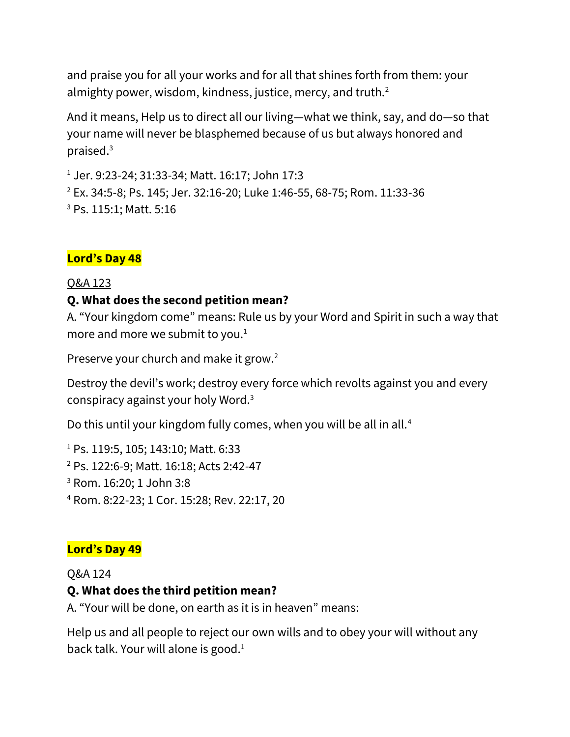and praise you for all your works and for all that shines forth from them: your almighty power, wisdom, kindness, justice, mercy, and truth.<sup>2</sup>

And it means, Help us to direct all our living—what we think, say, and do—so that your name will never be blasphemed because of us but always honored and praised.<sup>3</sup>

<sup>1</sup> Jer. 9:23-24; 31:33-34; Matt. 16:17; John 17:3

<sup>2</sup> Ex. 34:5-8; Ps. 145; Jer. 32:16-20; Luke 1:46-55, 68-75; Rom. 11:33-36 <sup>3</sup> Ps. 115:1; Matt. 5:16

#### **Lord's Day 48**

#### Q&A 123

#### **Q. What does the second petition mean?**

A. "Your kingdom come" means: Rule us by your Word and Spirit in such a way that more and more we submit to you. $1$ 

Preserve your church and make it grow.<sup>2</sup>

Destroy the devil's work; destroy every force which revolts against you and every conspiracy against your holy Word.<sup>3</sup>

Do this until your kingdom fully comes, when you will be all in all.<sup>4</sup>

 Ps. 119:5, 105; 143:10; Matt. 6:33 Ps. 122:6-9; Matt. 16:18; Acts 2:42-47 Rom. 16:20; 1 John 3:8 Rom. 8:22-23; 1 Cor. 15:28; Rev. 22:17, 20

#### **Lord's Day 49**

#### Q&A 124

### **Q. What does the third petition mean?**

A. "Your will be done, on earth as it is in heaven" means:

Help us and all people to reject our own wills and to obey your will without any back talk. Your will alone is good. $1$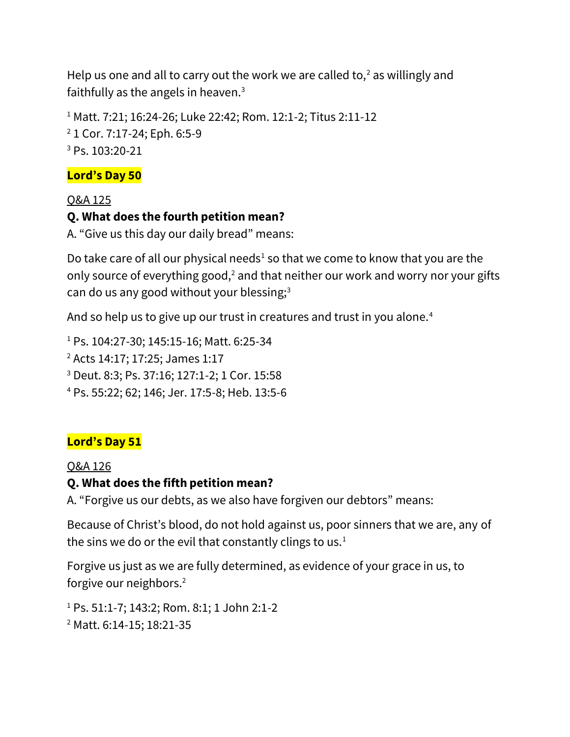Help us one and all to carry out the work we are called to, $2$  as willingly and faithfully as the angels in heaven. $3$ 

<sup>1</sup> Matt. 7:21; 16:24-26; Luke 22:42; Rom. 12:1-2; Titus 2:11-12 <sup>2</sup> 1 Cor. 7:17-24; Eph. 6:5-9 <sup>3</sup> Ps. 103:20-21

#### **Lord's Day 50**

#### Q&A 125

#### **Q. What does the fourth petition mean?**

A. "Give us this day our daily bread" means:

Do take care of all our physical needs<sup>1</sup> so that we come to know that you are the only source of everything good, $2$  and that neither our work and worry nor your gifts can do us any good without your blessing;<sup>3</sup>

And so help us to give up our trust in creatures and trust in you alone.<sup>4</sup>

<sup>1</sup> Ps. 104:27-30; 145:15-16; Matt. 6:25-34

<sup>2</sup> Acts 14:17; 17:25; James 1:17

<sup>3</sup> Deut. 8:3; Ps. 37:16; 127:1-2; 1 Cor. 15:58

<sup>4</sup> Ps. 55:22; 62; 146; Jer. 17:5-8; Heb. 13:5-6

### **Lord's Day 51**

#### Q&A 126

### **Q. What does the fifth petition mean?**

A. "Forgive us our debts, as we also have forgiven our debtors" means:

Because of Christ's blood, do not hold against us, poor sinners that we are, any of the sins we do or the evil that constantly clings to us.<sup>1</sup>

Forgive us just as we are fully determined, as evidence of your grace in us, to forgive our neighbors.<sup>2</sup>

<sup>1</sup> Ps. 51:1-7; 143:2; Rom. 8:1; 1 John 2:1-2 <sup>2</sup> Matt. 6:14-15; 18:21-35